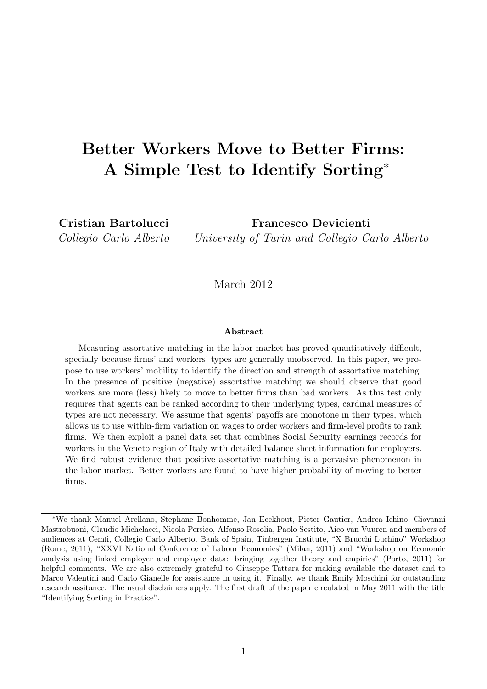# Better Workers Move to Better Firms: A Simple Test to Identify Sorting<sup>∗</sup>

Cristian Bartolucci Collegio Carlo Alberto

Francesco Devicienti University of Turin and Collegio Carlo Alberto

March 2012

#### Abstract

Measuring assortative matching in the labor market has proved quantitatively difficult, specially because firms' and workers' types are generally unobserved. In this paper, we propose to use workers' mobility to identify the direction and strength of assortative matching. In the presence of positive (negative) assortative matching we should observe that good workers are more (less) likely to move to better firms than bad workers. As this test only requires that agents can be ranked according to their underlying types, cardinal measures of types are not necessary. We assume that agents' payoffs are monotone in their types, which allows us to use within-firm variation on wages to order workers and firm-level profits to rank firms. We then exploit a panel data set that combines Social Security earnings records for workers in the Veneto region of Italy with detailed balance sheet information for employers. We find robust evidence that positive assortative matching is a pervasive phenomenon in the labor market. Better workers are found to have higher probability of moving to better firms.

<sup>∗</sup>We thank Manuel Arellano, Stephane Bonhomme, Jan Eeckhout, Pieter Gautier, Andrea Ichino, Giovanni Mastrobuoni, Claudio Michelacci, Nicola Persico, Alfonso Rosolia, Paolo Sestito, Aico van Vuuren and members of audiences at Cemfi, Collegio Carlo Alberto, Bank of Spain, Tinbergen Institute, "X Brucchi Luchino" Workshop (Rome, 2011), "XXVI National Conference of Labour Economics" (Milan, 2011) and "Workshop on Economic analysis using linked employer and employee data: bringing together theory and empirics" (Porto, 2011) for helpful comments. We are also extremely grateful to Giuseppe Tattara for making available the dataset and to Marco Valentini and Carlo Gianelle for assistance in using it. Finally, we thank Emily Moschini for outstanding research assitance. The usual disclaimers apply. The first draft of the paper circulated in May 2011 with the title "Identifying Sorting in Practice".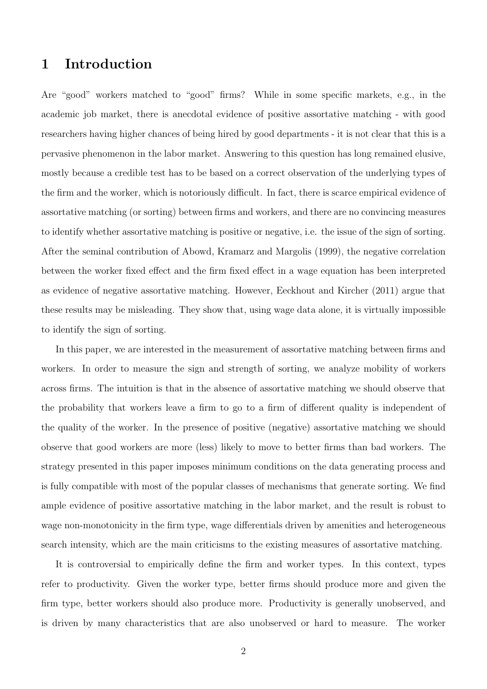# 1 Introduction

Are "good" workers matched to "good" firms? While in some specific markets, e.g., in the academic job market, there is anecdotal evidence of positive assortative matching - with good researchers having higher chances of being hired by good departments - it is not clear that this is a pervasive phenomenon in the labor market. Answering to this question has long remained elusive, mostly because a credible test has to be based on a correct observation of the underlying types of the firm and the worker, which is notoriously difficult. In fact, there is scarce empirical evidence of assortative matching (or sorting) between firms and workers, and there are no convincing measures to identify whether assortative matching is positive or negative, i.e. the issue of the sign of sorting. After the seminal contribution of Abowd, Kramarz and Margolis (1999), the negative correlation between the worker fixed effect and the firm fixed effect in a wage equation has been interpreted as evidence of negative assortative matching. However, Eeckhout and Kircher (2011) argue that these results may be misleading. They show that, using wage data alone, it is virtually impossible to identify the sign of sorting.

In this paper, we are interested in the measurement of assortative matching between firms and workers. In order to measure the sign and strength of sorting, we analyze mobility of workers across firms. The intuition is that in the absence of assortative matching we should observe that the probability that workers leave a firm to go to a firm of different quality is independent of the quality of the worker. In the presence of positive (negative) assortative matching we should observe that good workers are more (less) likely to move to better firms than bad workers. The strategy presented in this paper imposes minimum conditions on the data generating process and is fully compatible with most of the popular classes of mechanisms that generate sorting. We find ample evidence of positive assortative matching in the labor market, and the result is robust to wage non-monotonicity in the firm type, wage differentials driven by amenities and heterogeneous search intensity, which are the main criticisms to the existing measures of assortative matching.

It is controversial to empirically define the firm and worker types. In this context, types refer to productivity. Given the worker type, better firms should produce more and given the firm type, better workers should also produce more. Productivity is generally unobserved, and is driven by many characteristics that are also unobserved or hard to measure. The worker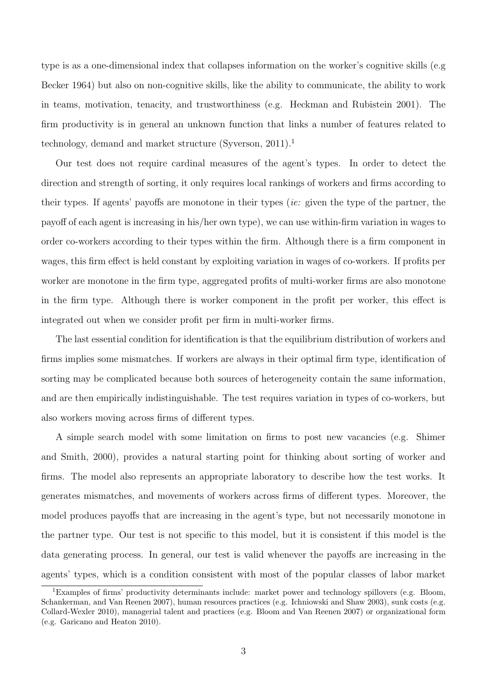type is as a one-dimensional index that collapses information on the worker's cognitive skills (e.g Becker 1964) but also on non-cognitive skills, like the ability to communicate, the ability to work in teams, motivation, tenacity, and trustworthiness (e.g. Heckman and Rubistein 2001). The firm productivity is in general an unknown function that links a number of features related to technology, demand and market structure (Syverson, 2011).<sup>1</sup>

Our test does not require cardinal measures of the agent's types. In order to detect the direction and strength of sorting, it only requires local rankings of workers and firms according to their types. If agents' payoffs are monotone in their types (ie: given the type of the partner, the payoff of each agent is increasing in his/her own type), we can use within-firm variation in wages to order co-workers according to their types within the firm. Although there is a firm component in wages, this firm effect is held constant by exploiting variation in wages of co-workers. If profits per worker are monotone in the firm type, aggregated profits of multi-worker firms are also monotone in the firm type. Although there is worker component in the profit per worker, this effect is integrated out when we consider profit per firm in multi-worker firms.

The last essential condition for identification is that the equilibrium distribution of workers and firms implies some mismatches. If workers are always in their optimal firm type, identification of sorting may be complicated because both sources of heterogeneity contain the same information, and are then empirically indistinguishable. The test requires variation in types of co-workers, but also workers moving across firms of different types.

A simple search model with some limitation on firms to post new vacancies (e.g. Shimer and Smith, 2000), provides a natural starting point for thinking about sorting of worker and firms. The model also represents an appropriate laboratory to describe how the test works. It generates mismatches, and movements of workers across firms of different types. Moreover, the model produces payoffs that are increasing in the agent's type, but not necessarily monotone in the partner type. Our test is not specific to this model, but it is consistent if this model is the data generating process. In general, our test is valid whenever the payoffs are increasing in the agents' types, which is a condition consistent with most of the popular classes of labor market

<sup>&</sup>lt;sup>1</sup>Examples of firms' productivity determinants include: market power and technology spillovers (e.g. Bloom, Schankerman, and Van Reenen 2007), human resources practices (e.g. Ichniowski and Shaw 2003), sunk costs (e.g. Collard-Wexler 2010), managerial talent and practices (e.g. Bloom and Van Reenen 2007) or organizational form (e.g. Garicano and Heaton 2010).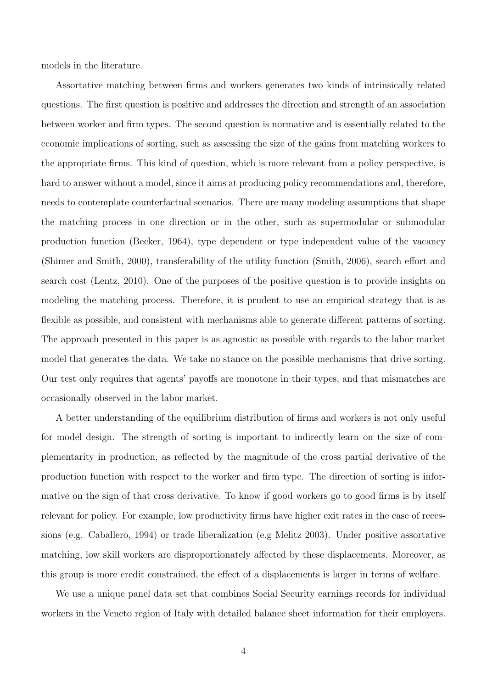models in the literature.

Assortative matching between firms and workers generates two kinds of intrinsically related questions. The first question is positive and addresses the direction and strength of an association between worker and firm types. The second question is normative and is essentially related to the economic implications of sorting, such as assessing the size of the gains from matching workers to the appropriate firms. This kind of question, which is more relevant from a policy perspective, is hard to answer without a model, since it aims at producing policy recommendations and, therefore, needs to contemplate counterfactual scenarios. There are many modeling assumptions that shape the matching process in one direction or in the other, such as supermodular or submodular production function (Becker, 1964), type dependent or type independent value of the vacancy (Shimer and Smith, 2000), transferability of the utility function (Smith, 2006), search effort and search cost (Lentz, 2010). One of the purposes of the positive question is to provide insights on modeling the matching process. Therefore, it is prudent to use an empirical strategy that is as flexible as possible, and consistent with mechanisms able to generate different patterns of sorting. The approach presented in this paper is as agnostic as possible with regards to the labor market model that generates the data. We take no stance on the possible mechanisms that drive sorting. Our test only requires that agents' payoffs are monotone in their types, and that mismatches are occasionally observed in the labor market.

A better understanding of the equilibrium distribution of firms and workers is not only useful for model design. The strength of sorting is important to indirectly learn on the size of complementarity in production, as reflected by the magnitude of the cross partial derivative of the production function with respect to the worker and firm type. The direction of sorting is informative on the sign of that cross derivative. To know if good workers go to good firms is by itself relevant for policy. For example, low productivity firms have higher exit rates in the case of recessions (e.g. Caballero, 1994) or trade liberalization (e.g Melitz 2003). Under positive assortative matching, low skill workers are disproportionately affected by these displacements. Moreover, as this group is more credit constrained, the effect of a displacements is larger in terms of welfare.

We use a unique panel data set that combines Social Security earnings records for individual workers in the Veneto region of Italy with detailed balance sheet information for their employers.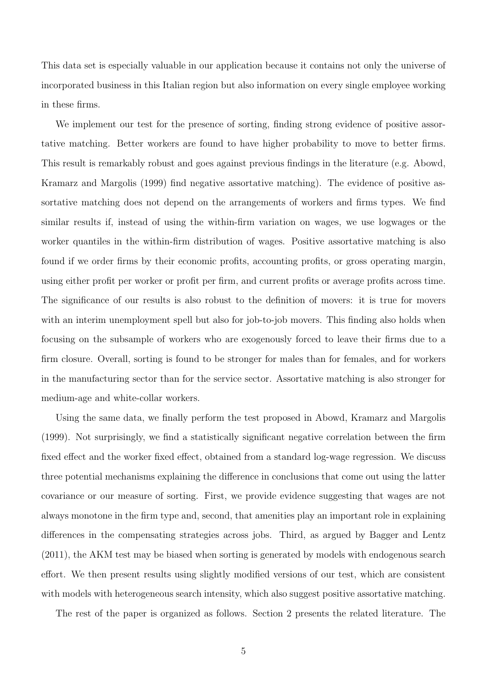This data set is especially valuable in our application because it contains not only the universe of incorporated business in this Italian region but also information on every single employee working in these firms.

We implement our test for the presence of sorting, finding strong evidence of positive assortative matching. Better workers are found to have higher probability to move to better firms. This result is remarkably robust and goes against previous findings in the literature (e.g. Abowd, Kramarz and Margolis (1999) find negative assortative matching). The evidence of positive assortative matching does not depend on the arrangements of workers and firms types. We find similar results if, instead of using the within-firm variation on wages, we use logwages or the worker quantiles in the within-firm distribution of wages. Positive assortative matching is also found if we order firms by their economic profits, accounting profits, or gross operating margin, using either profit per worker or profit per firm, and current profits or average profits across time. The significance of our results is also robust to the definition of movers: it is true for movers with an interim unemployment spell but also for job-to-job movers. This finding also holds when focusing on the subsample of workers who are exogenously forced to leave their firms due to a firm closure. Overall, sorting is found to be stronger for males than for females, and for workers in the manufacturing sector than for the service sector. Assortative matching is also stronger for medium-age and white-collar workers.

Using the same data, we finally perform the test proposed in Abowd, Kramarz and Margolis (1999). Not surprisingly, we find a statistically significant negative correlation between the firm fixed effect and the worker fixed effect, obtained from a standard log-wage regression. We discuss three potential mechanisms explaining the difference in conclusions that come out using the latter covariance or our measure of sorting. First, we provide evidence suggesting that wages are not always monotone in the firm type and, second, that amenities play an important role in explaining differences in the compensating strategies across jobs. Third, as argued by Bagger and Lentz (2011), the AKM test may be biased when sorting is generated by models with endogenous search effort. We then present results using slightly modified versions of our test, which are consistent with models with heterogeneous search intensity, which also suggest positive assortative matching.

The rest of the paper is organized as follows. Section 2 presents the related literature. The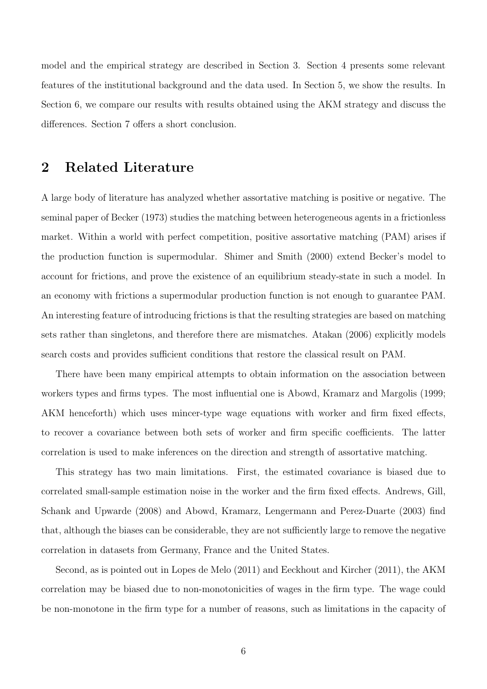model and the empirical strategy are described in Section 3. Section 4 presents some relevant features of the institutional background and the data used. In Section 5, we show the results. In Section 6, we compare our results with results obtained using the AKM strategy and discuss the differences. Section 7 offers a short conclusion.

# 2 Related Literature

A large body of literature has analyzed whether assortative matching is positive or negative. The seminal paper of Becker (1973) studies the matching between heterogeneous agents in a frictionless market. Within a world with perfect competition, positive assortative matching (PAM) arises if the production function is supermodular. Shimer and Smith (2000) extend Becker's model to account for frictions, and prove the existence of an equilibrium steady-state in such a model. In an economy with frictions a supermodular production function is not enough to guarantee PAM. An interesting feature of introducing frictions is that the resulting strategies are based on matching sets rather than singletons, and therefore there are mismatches. Atakan (2006) explicitly models search costs and provides sufficient conditions that restore the classical result on PAM.

There have been many empirical attempts to obtain information on the association between workers types and firms types. The most influential one is Abowd, Kramarz and Margolis (1999; AKM henceforth) which uses mincer-type wage equations with worker and firm fixed effects, to recover a covariance between both sets of worker and firm specific coefficients. The latter correlation is used to make inferences on the direction and strength of assortative matching.

This strategy has two main limitations. First, the estimated covariance is biased due to correlated small-sample estimation noise in the worker and the firm fixed effects. Andrews, Gill, Schank and Upwarde (2008) and Abowd, Kramarz, Lengermann and Perez-Duarte (2003) find that, although the biases can be considerable, they are not sufficiently large to remove the negative correlation in datasets from Germany, France and the United States.

Second, as is pointed out in Lopes de Melo (2011) and Eeckhout and Kircher (2011), the AKM correlation may be biased due to non-monotonicities of wages in the firm type. The wage could be non-monotone in the firm type for a number of reasons, such as limitations in the capacity of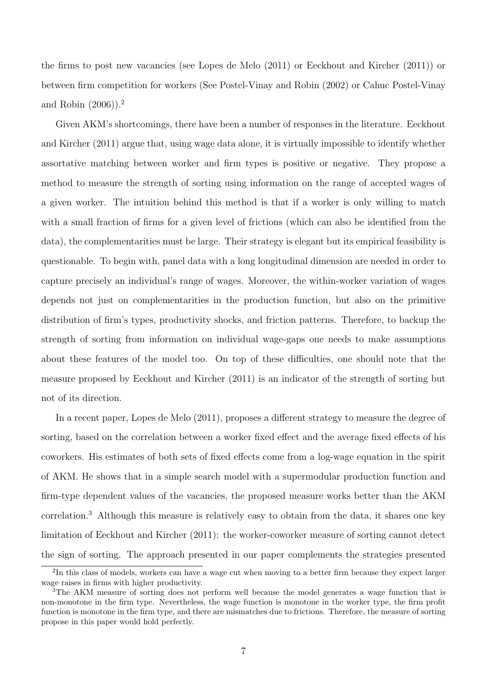the firms to post new vacancies (see Lopes de Melo (2011) or Eeckhout and Kircher (2011)) or between firm competition for workers (See Postel-Vinay and Robin (2002) or Cahuc Postel-Vinay and Robin (2006)).<sup>2</sup>

Given AKM's shortcomings, there have been a number of responses in the literature. Eeckhout and Kircher (2011) argue that, using wage data alone, it is virtually impossible to identify whether assortative matching between worker and firm types is positive or negative. They propose a method to measure the strength of sorting using information on the range of accepted wages of a given worker. The intuition behind this method is that if a worker is only willing to match with a small fraction of firms for a given level of frictions (which can also be identified from the data), the complementarities must be large. Their strategy is elegant but its empirical feasibility is questionable. To begin with, panel data with a long longitudinal dimension are needed in order to capture precisely an individual's range of wages. Moreover, the within-worker variation of wages depends not just on complementarities in the production function, but also on the primitive distribution of firm's types, productivity shocks, and friction patterns. Therefore, to backup the strength of sorting from information on individual wage-gaps one needs to make assumptions about these features of the model too. On top of these difficulties, one should note that the measure proposed by Eeckhout and Kircher (2011) is an indicator of the strength of sorting but not of its direction.

In a recent paper, Lopes de Melo (2011), proposes a different strategy to measure the degree of sorting, based on the correlation between a worker fixed effect and the average fixed effects of his coworkers. His estimates of both sets of fixed effects come from a log-wage equation in the spirit of AKM. He shows that in a simple search model with a supermodular production function and firm-type dependent values of the vacancies, the proposed measure works better than the AKM correlation.<sup>3</sup> Although this measure is relatively easy to obtain from the data, it shares one key limitation of Eeckhout and Kircher (2011): the worker-coworker measure of sorting cannot detect the sign of sorting. The approach presented in our paper complements the strategies presented

<sup>&</sup>lt;sup>2</sup>In this class of models, workers can have a wage cut when moving to a better firm because they expect larger wage raises in firms with higher productivity.

<sup>&</sup>lt;sup>3</sup>The AKM measure of sorting does not perform well because the model generates a wage function that is non-monotone in the firm type. Nevertheless, the wage function is monotone in the worker type, the firm profit function is monotone in the firm type, and there are mismatches due to frictions. Therefore, the measure of sorting propose in this paper would hold perfectly.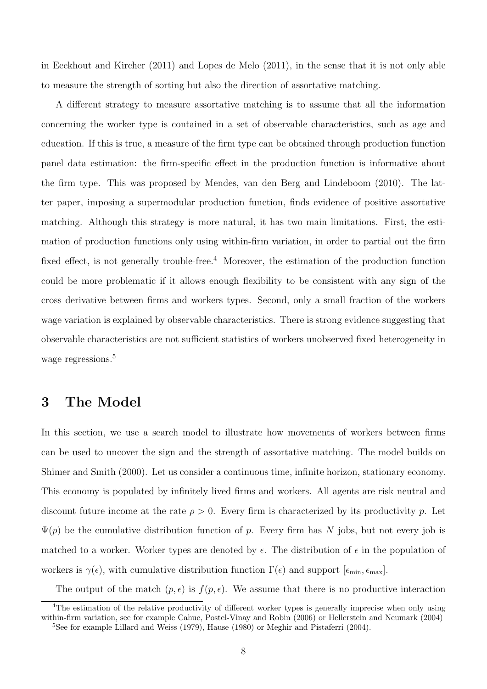in Eeckhout and Kircher (2011) and Lopes de Melo (2011), in the sense that it is not only able to measure the strength of sorting but also the direction of assortative matching.

A different strategy to measure assortative matching is to assume that all the information concerning the worker type is contained in a set of observable characteristics, such as age and education. If this is true, a measure of the firm type can be obtained through production function panel data estimation: the firm-specific effect in the production function is informative about the firm type. This was proposed by Mendes, van den Berg and Lindeboom (2010). The latter paper, imposing a supermodular production function, finds evidence of positive assortative matching. Although this strategy is more natural, it has two main limitations. First, the estimation of production functions only using within-firm variation, in order to partial out the firm fixed effect, is not generally trouble-free.<sup>4</sup> Moreover, the estimation of the production function could be more problematic if it allows enough flexibility to be consistent with any sign of the cross derivative between firms and workers types. Second, only a small fraction of the workers wage variation is explained by observable characteristics. There is strong evidence suggesting that observable characteristics are not sufficient statistics of workers unobserved fixed heterogeneity in wage regressions.<sup>5</sup>

# 3 The Model

In this section, we use a search model to illustrate how movements of workers between firms can be used to uncover the sign and the strength of assortative matching. The model builds on Shimer and Smith (2000). Let us consider a continuous time, infinite horizon, stationary economy. This economy is populated by infinitely lived firms and workers. All agents are risk neutral and discount future income at the rate  $\rho > 0$ . Every firm is characterized by its productivity p. Let  $\Psi(p)$  be the cumulative distribution function of p. Every firm has N jobs, but not every job is matched to a worker. Worker types are denoted by  $\epsilon$ . The distribution of  $\epsilon$  in the population of workers is  $\gamma(\epsilon)$ , with cumulative distribution function  $\Gamma(\epsilon)$  and support  $[\epsilon_{\min}, \epsilon_{\max}]$ .

The output of the match  $(p, \epsilon)$  is  $f(p, \epsilon)$ . We assume that there is no productive interaction

<sup>&</sup>lt;sup>4</sup>The estimation of the relative productivity of different worker types is generally imprecise when only using within-firm variation, see for example Cahuc, Postel-Vinay and Robin (2006) or Hellerstein and Neumark (2004)

<sup>&</sup>lt;sup>5</sup>See for example Lillard and Weiss (1979), Hause (1980) or Meghir and Pistaferri (2004).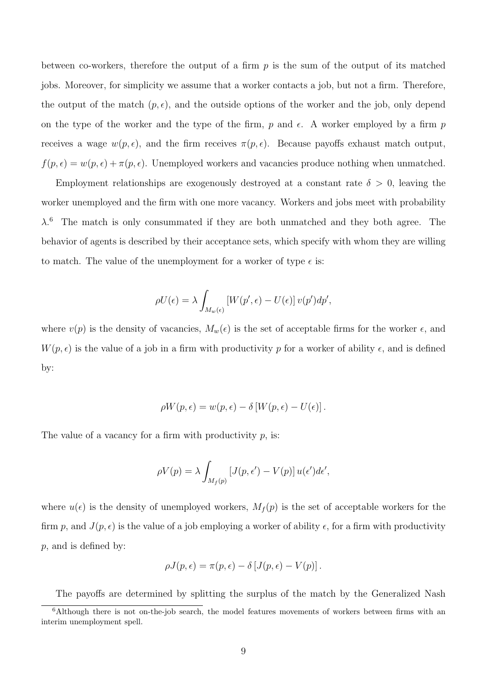between co-workers, therefore the output of a firm  $p$  is the sum of the output of its matched jobs. Moreover, for simplicity we assume that a worker contacts a job, but not a firm. Therefore, the output of the match  $(p, \epsilon)$ , and the outside options of the worker and the job, only depend on the type of the worker and the type of the firm, p and  $\epsilon$ . A worker employed by a firm p receives a wage  $w(p, \epsilon)$ , and the firm receives  $\pi(p, \epsilon)$ . Because payoffs exhaust match output,  $f(p, \epsilon) = w(p, \epsilon) + \pi(p, \epsilon)$ . Unemployed workers and vacancies produce nothing when unmatched.

Employment relationships are exogenously destroyed at a constant rate  $\delta > 0$ , leaving the worker unemployed and the firm with one more vacancy. Workers and jobs meet with probability  $\lambda$ <sup>6</sup> The match is only consummated if they are both unmatched and they both agree. The behavior of agents is described by their acceptance sets, which specify with whom they are willing to match. The value of the unemployment for a worker of type  $\epsilon$  is:

$$
\rho U(\epsilon) = \lambda \int_{M_w(\epsilon)} \left[ W(p', \epsilon) - U(\epsilon) \right] v(p') dp',
$$

where  $v(p)$  is the density of vacancies,  $M_w(\epsilon)$  is the set of acceptable firms for the worker  $\epsilon$ , and  $W(p, \epsilon)$  is the value of a job in a firm with productivity p for a worker of ability  $\epsilon$ , and is defined by:

$$
\rho W(p,\epsilon) = w(p,\epsilon) - \delta [W(p,\epsilon) - U(\epsilon)].
$$

The value of a vacancy for a firm with productivity  $p$ , is:

$$
\rho V(p) = \lambda \int_{M_f(p)} \left[ J(p, \epsilon') - V(p) \right] u(\epsilon') d\epsilon',
$$

where  $u(\epsilon)$  is the density of unemployed workers,  $M_f(p)$  is the set of acceptable workers for the firm p, and  $J(p, \epsilon)$  is the value of a job employing a worker of ability  $\epsilon$ , for a firm with productivity p, and is defined by:

$$
\rho J(p,\epsilon) = \pi(p,\epsilon) - \delta [J(p,\epsilon) - V(p)].
$$

The payoffs are determined by splitting the surplus of the match by the Generalized Nash

<sup>&</sup>lt;sup>6</sup>Although there is not on-the-job search, the model features movements of workers between firms with an interim unemployment spell.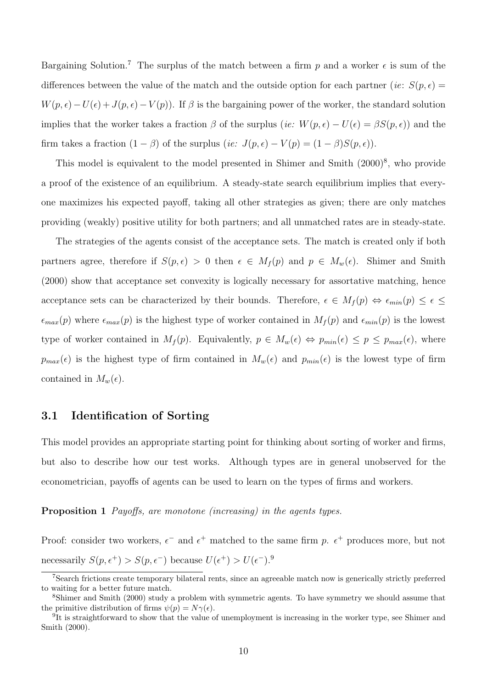Bargaining Solution.<sup>7</sup> The surplus of the match between a firm p and a worker  $\epsilon$  is sum of the differences between the value of the match and the outside option for each partner (*ie:*  $S(p, \epsilon)$ )  $W(p, \epsilon) - U(\epsilon) + J(p, \epsilon) - V(p)$ . If  $\beta$  is the bargaining power of the worker, the standard solution implies that the worker takes a fraction  $\beta$  of the surplus (ie:  $W(p, \epsilon) - U(\epsilon) = \beta S(p, \epsilon)$ ) and the firm takes a fraction  $(1 - \beta)$  of the surplus  $(ie: J(p, \epsilon) - V(p) = (1 - \beta)S(p, \epsilon)).$ 

This model is equivalent to the model presented in Shimer and Smith  $(2000)^8$ , who provide a proof of the existence of an equilibrium. A steady-state search equilibrium implies that everyone maximizes his expected payoff, taking all other strategies as given; there are only matches providing (weakly) positive utility for both partners; and all unmatched rates are in steady-state.

The strategies of the agents consist of the acceptance sets. The match is created only if both partners agree, therefore if  $S(p, \epsilon) > 0$  then  $\epsilon \in M_f(p)$  and  $p \in M_w(\epsilon)$ . Shimer and Smith (2000) show that acceptance set convexity is logically necessary for assortative matching, hence acceptance sets can be characterized by their bounds. Therefore,  $\epsilon \in M_f(p) \Leftrightarrow \epsilon_{min}(p) \leq \epsilon \leq$  $\epsilon_{max}(p)$  where  $\epsilon_{max}(p)$  is the highest type of worker contained in  $M_f(p)$  and  $\epsilon_{min}(p)$  is the lowest type of worker contained in  $M_f(p)$ . Equivalently,  $p \in M_w(\epsilon) \Leftrightarrow p_{min}(\epsilon) \leq p \leq p_{max}(\epsilon)$ , where  $p_{max}(\epsilon)$  is the highest type of firm contained in  $M_w(\epsilon)$  and  $p_{min}(\epsilon)$  is the lowest type of firm contained in  $M_w(\epsilon)$ .

### 3.1 Identification of Sorting

This model provides an appropriate starting point for thinking about sorting of worker and firms, but also to describe how our test works. Although types are in general unobserved for the econometrician, payoffs of agents can be used to learn on the types of firms and workers.

#### Proposition 1 Payoffs, are monotone (increasing) in the agents types.

Proof: consider two workers,  $\epsilon^-$  and  $\epsilon^+$  matched to the same firm p.  $\epsilon^+$  produces more, but not necessarily  $S(p, \epsilon^+) > S(p, \epsilon^-)$  because  $U(\epsilon^+) > U(\epsilon^-).$ <sup>9</sup>

<sup>7</sup>Search frictions create temporary bilateral rents, since an agreeable match now is generically strictly preferred to waiting for a better future match.

<sup>8</sup>Shimer and Smith (2000) study a problem with symmetric agents. To have symmetry we should assume that the primitive distribution of firms  $\psi(p) = N\gamma(\epsilon)$ .

<sup>&</sup>lt;sup>9</sup>It is straightforward to show that the value of unemployment is increasing in the worker type, see Shimer and Smith (2000).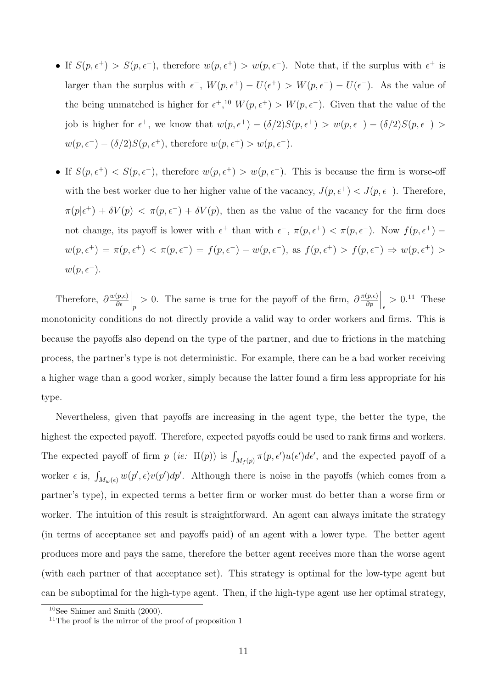- If  $S(p, \epsilon^+) > S(p, \epsilon^-)$ , therefore  $w(p, \epsilon^+) > w(p, \epsilon^-)$ . Note that, if the surplus with  $\epsilon^+$  is larger than the surplus with  $\epsilon^-$ ,  $W(p, \epsilon^+) - U(\epsilon^+) > W(p, \epsilon^-) - U(\epsilon^-)$ . As the value of the being unmatched is higher for  $\epsilon^+,^{10} W(p, \epsilon^+) > W(p, \epsilon^-)$ . Given that the value of the job is higher for  $\epsilon^+$ , we know that  $w(p, \epsilon^+) - (\delta/2)S(p, \epsilon^+) > w(p, \epsilon^-) - (\delta/2)S(p, \epsilon^-) >$  $w(p, \epsilon^{-}) - (\delta/2)S(p, \epsilon^{+}),$  therefore  $w(p, \epsilon^{+}) > w(p, \epsilon^{-}).$
- If  $S(p, \epsilon^+) < S(p, \epsilon^-)$ , therefore  $w(p, \epsilon^+) > w(p, \epsilon^-)$ . This is because the firm is worse-off with the best worker due to her higher value of the vacancy,  $J(p, \epsilon^+) < J(p, \epsilon^-)$ . Therefore,  $\pi(p|\epsilon^+) + \delta V(p) < \pi(p,\epsilon^-) + \delta V(p)$ , then as the value of the vacancy for the firm does not change, its payoff is lower with  $\epsilon^+$  than with  $\epsilon^-$ ,  $\pi(p, \epsilon^+) < \pi(p, \epsilon^-)$ . Now  $f(p, \epsilon^+)$  $w(p, \epsilon^+) = \pi(p, \epsilon^+) < \pi(p, \epsilon^-) = f(p, \epsilon^-) - w(p, \epsilon^-)$ , as  $f(p, \epsilon^+) > f(p, \epsilon^-) \Rightarrow w(p, \epsilon^+) >$  $w(p, \epsilon^{-}).$

Therefore,  $\partial \frac{w(p,\epsilon)}{\partial \epsilon}$ ∂  $\Big|_p > 0$ . The same is true for the payoff of the firm,  $\partial \frac{\pi(p,\epsilon)}{\partial p}$ ∂p  $\Big|_{\epsilon}$  > 0.<sup>11</sup> These monotonicity conditions do not directly provide a valid way to order workers and firms. This is because the payoffs also depend on the type of the partner, and due to frictions in the matching process, the partner's type is not deterministic. For example, there can be a bad worker receiving a higher wage than a good worker, simply because the latter found a firm less appropriate for his type.

Nevertheless, given that payoffs are increasing in the agent type, the better the type, the highest the expected payoff. Therefore, expected payoffs could be used to rank firms and workers. The expected payoff of firm  $p$  (ie:  $\Pi(p)$ ) is  $\int_{M_f(p)} \pi(p, \epsilon') u(\epsilon') d\epsilon'$ , and the expected payoff of a worker  $\epsilon$  is,  $\int_{M_w(\epsilon)} w(p', \epsilon) v(p') dp'$ . Although there is noise in the payoffs (which comes from a partner's type), in expected terms a better firm or worker must do better than a worse firm or worker. The intuition of this result is straightforward. An agent can always imitate the strategy (in terms of acceptance set and payoffs paid) of an agent with a lower type. The better agent produces more and pays the same, therefore the better agent receives more than the worse agent (with each partner of that acceptance set). This strategy is optimal for the low-type agent but can be suboptimal for the high-type agent. Then, if the high-type agent use her optimal strategy,

 $10$ See Shimer and Smith (2000).

 $11$ The proof is the mirror of the proof of proposition 1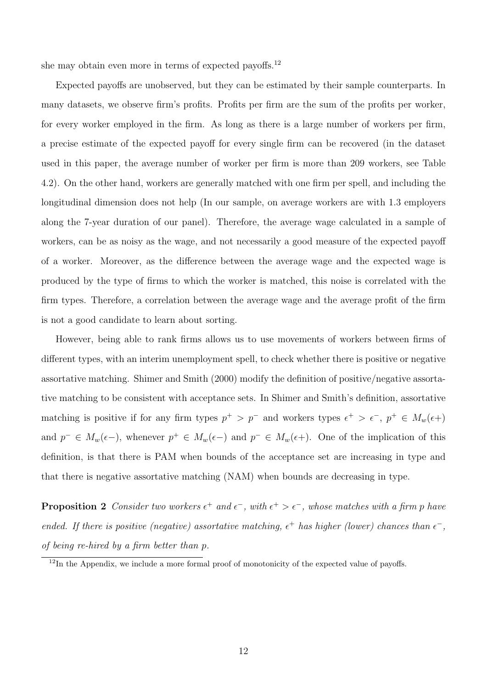she may obtain even more in terms of expected payoffs.<sup>12</sup>

Expected payoffs are unobserved, but they can be estimated by their sample counterparts. In many datasets, we observe firm's profits. Profits per firm are the sum of the profits per worker, for every worker employed in the firm. As long as there is a large number of workers per firm, a precise estimate of the expected payoff for every single firm can be recovered (in the dataset used in this paper, the average number of worker per firm is more than 209 workers, see Table 4.2). On the other hand, workers are generally matched with one firm per spell, and including the longitudinal dimension does not help (In our sample, on average workers are with 1.3 employers along the 7-year duration of our panel). Therefore, the average wage calculated in a sample of workers, can be as noisy as the wage, and not necessarily a good measure of the expected payoff of a worker. Moreover, as the difference between the average wage and the expected wage is produced by the type of firms to which the worker is matched, this noise is correlated with the firm types. Therefore, a correlation between the average wage and the average profit of the firm is not a good candidate to learn about sorting.

However, being able to rank firms allows us to use movements of workers between firms of different types, with an interim unemployment spell, to check whether there is positive or negative assortative matching. Shimer and Smith (2000) modify the definition of positive/negative assortative matching to be consistent with acceptance sets. In Shimer and Smith's definition, assortative matching is positive if for any firm types  $p^+ > p^-$  and workers types  $\epsilon^+ > \epsilon^-$ ,  $p^+ \in M_w(\epsilon+)$ and  $p^- \in M_w(\epsilon-)$ , whenever  $p^+ \in M_w(\epsilon-)$  and  $p^- \in M_w(\epsilon+)$ . One of the implication of this definition, is that there is PAM when bounds of the acceptance set are increasing in type and that there is negative assortative matching (NAM) when bounds are decreasing in type.

**Proposition 2** Consider two workers  $\epsilon^+$  and  $\epsilon^-$ , with  $\epsilon^+ > \epsilon^-$ , whose matches with a firm p have ended. If there is positive (negative) assortative matching,  $\epsilon^+$  has higher (lower) chances than  $\epsilon^-$ , of being re-hired by a firm better than p.

 $12$ In the Appendix, we include a more formal proof of monotonicity of the expected value of payoffs.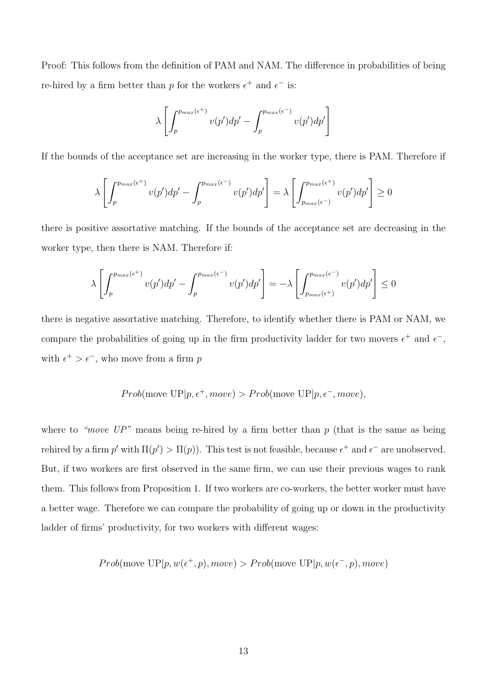Proof: This follows from the definition of PAM and NAM. The difference in probabilities of being re-hired by a firm better than p for the workers  $\epsilon^+$  and  $\epsilon^-$  is:

$$
\lambda \left[ \int_{p}^{p_{max}(\epsilon^{+})} v(p') dp' - \int_{p}^{p_{max}(\epsilon^{-})} v(p') dp' \right]
$$

If the bounds of the acceptance set are increasing in the worker type, there is PAM. Therefore if

$$
\lambda \left[ \int_{p}^{p_{max}(\epsilon^{+})} v(p') dp' - \int_{p}^{p_{max}(\epsilon^{-})} v(p') dp' \right] = \lambda \left[ \int_{p_{max}(\epsilon^{-})}^{p_{max}(\epsilon^{+})} v(p') dp' \right] \ge 0
$$

there is positive assortative matching. If the bounds of the acceptance set are decreasing in the worker type, then there is NAM. Therefore if:

$$
\lambda \left[ \int_{p}^{p_{max}(\epsilon^{+})} v(p') dp' - \int_{p}^{p_{max}(\epsilon^{-})} v(p') dp' \right] = -\lambda \left[ \int_{p_{max}(\epsilon^{+})}^{p_{max}(\epsilon^{-})} v(p') dp' \right] \le 0
$$

there is negative assortative matching. Therefore, to identify whether there is PAM or NAM, we compare the probabilities of going up in the firm productivity ladder for two movers  $\epsilon^+$  and  $\epsilon^-$ , with  $\epsilon^+ > \epsilon^-$ , who move from a firm p

$$
Prob(\text{move UP}|p, \epsilon^+, move) > Prob(\text{move UP}|p, \epsilon^-, move),
$$

where to "move  $UP$ " means being re-hired by a firm better than p (that is the same as being rehired by a firm p' with  $\Pi(p') > \Pi(p)$ . This test is not feasible, because  $\epsilon^+$  and  $\epsilon^-$  are unobserved. But, if two workers are first observed in the same firm, we can use their previous wages to rank them. This follows from Proposition 1. If two workers are co-workers, the better worker must have a better wage. Therefore we can compare the probability of going up or down in the productivity ladder of firms' productivity, for two workers with different wages:

*Prob*(move UP|p, 
$$
w(\epsilon^+, p)
$$
, move) > *Prob*(move UP|p,  $w(\epsilon^-, p)$ , move)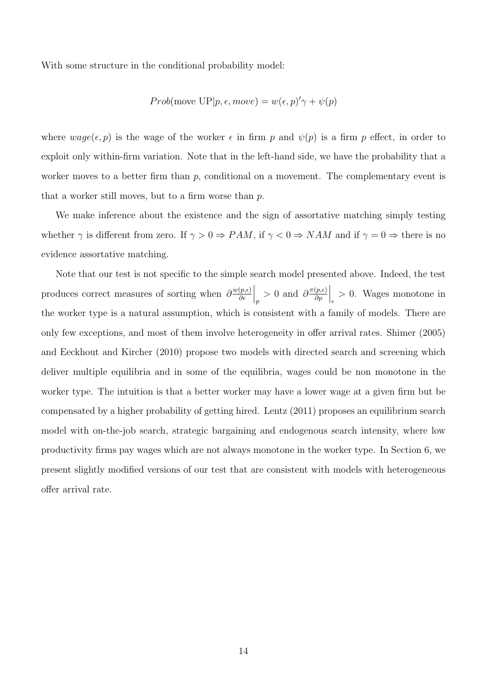With some structure in the conditional probability model:

*Prob*(move UP|*p*, 
$$
\epsilon
$$
, move) =  $w(\epsilon, p)' \gamma + \psi(p)$ 

where  $wage(\epsilon, p)$  is the wage of the worker  $\epsilon$  in firm p and  $\psi(p)$  is a firm p effect, in order to exploit only within-firm variation. Note that in the left-hand side, we have the probability that a worker moves to a better firm than  $p$ , conditional on a movement. The complementary event is that a worker still moves, but to a firm worse than p.

We make inference about the existence and the sign of assortative matching simply testing whether  $\gamma$  is different from zero. If  $\gamma > 0 \Rightarrow PAM$ , if  $\gamma < 0 \Rightarrow NAM$  and if  $\gamma = 0 \Rightarrow$  there is no evidence assortative matching.

Note that our test is not specific to the simple search model presented above. Indeed, the test produces correct measures of sorting when  $\frac{\partial^{w(p,\epsilon)}}{\partial \epsilon}$ ∂  $\Big|_p > 0$  and  $\partial \frac{\pi(p,\epsilon)}{\partial p}$ ∂p  $\Big|_{\epsilon} > 0$ . Wages monotone in the worker type is a natural assumption, which is consistent with a family of models. There are only few exceptions, and most of them involve heterogeneity in offer arrival rates. Shimer (2005) and Eeckhout and Kircher (2010) propose two models with directed search and screening which deliver multiple equilibria and in some of the equilibria, wages could be non monotone in the worker type. The intuition is that a better worker may have a lower wage at a given firm but be compensated by a higher probability of getting hired. Lentz (2011) proposes an equilibrium search model with on-the-job search, strategic bargaining and endogenous search intensity, where low productivity firms pay wages which are not always monotone in the worker type. In Section 6, we present slightly modified versions of our test that are consistent with models with heterogeneous offer arrival rate.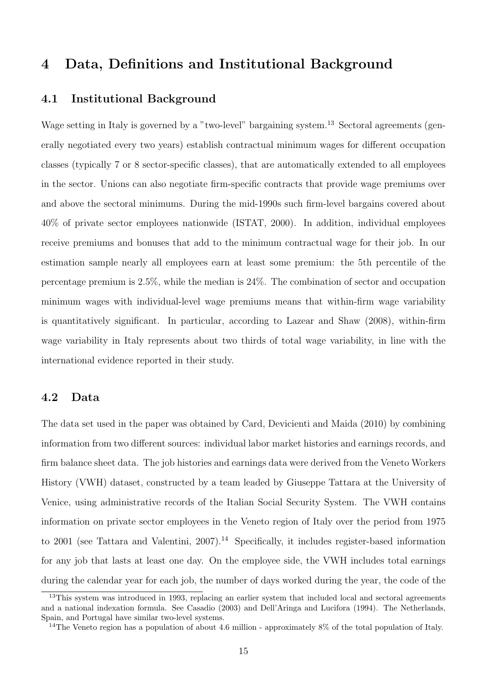# 4 Data, Definitions and Institutional Background

### 4.1 Institutional Background

Wage setting in Italy is governed by a "two-level" bargaining system.<sup>13</sup> Sectoral agreements (generally negotiated every two years) establish contractual minimum wages for different occupation classes (typically 7 or 8 sector-specific classes), that are automatically extended to all employees in the sector. Unions can also negotiate firm-specific contracts that provide wage premiums over and above the sectoral minimums. During the mid-1990s such firm-level bargains covered about 40% of private sector employees nationwide (ISTAT, 2000). In addition, individual employees receive premiums and bonuses that add to the minimum contractual wage for their job. In our estimation sample nearly all employees earn at least some premium: the 5th percentile of the percentage premium is 2.5%, while the median is 24%. The combination of sector and occupation minimum wages with individual-level wage premiums means that within-firm wage variability is quantitatively significant. In particular, according to Lazear and Shaw (2008), within-firm wage variability in Italy represents about two thirds of total wage variability, in line with the international evidence reported in their study.

### 4.2 Data

The data set used in the paper was obtained by Card, Devicienti and Maida (2010) by combining information from two different sources: individual labor market histories and earnings records, and firm balance sheet data. The job histories and earnings data were derived from the Veneto Workers History (VWH) dataset, constructed by a team leaded by Giuseppe Tattara at the University of Venice, using administrative records of the Italian Social Security System. The VWH contains information on private sector employees in the Veneto region of Italy over the period from 1975 to 2001 (see Tattara and Valentini, 2007).<sup>14</sup> Specifically, it includes register-based information for any job that lasts at least one day. On the employee side, the VWH includes total earnings during the calendar year for each job, the number of days worked during the year, the code of the

<sup>&</sup>lt;sup>13</sup>This system was introduced in 1993, replacing an earlier system that included local and sectoral agreements and a national indexation formula. See Casadio (2003) and Dell'Aringa and Lucifora (1994). The Netherlands, Spain, and Portugal have similar two-level systems.

<sup>&</sup>lt;sup>14</sup>The Veneto region has a population of about 4.6 million - approximately  $8\%$  of the total population of Italy.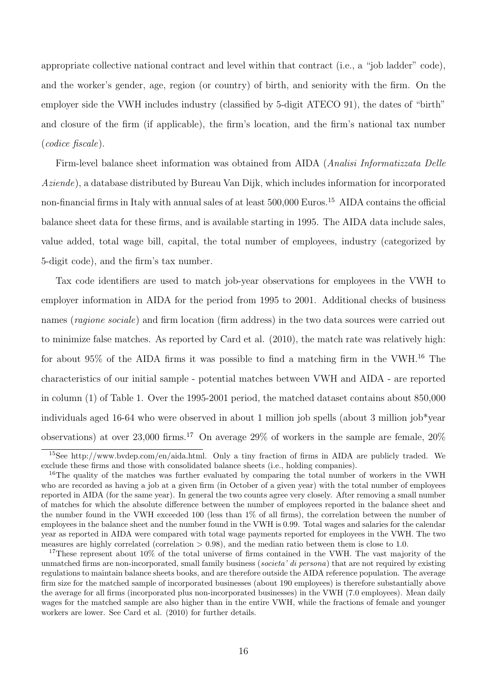appropriate collective national contract and level within that contract (i.e., a "job ladder" code), and the worker's gender, age, region (or country) of birth, and seniority with the firm. On the employer side the VWH includes industry (classified by 5-digit ATECO 91), the dates of "birth" and closure of the firm (if applicable), the firm's location, and the firm's national tax number (codice fiscale).

Firm-level balance sheet information was obtained from AIDA (Analisi Informatizzata Delle Aziende), a database distributed by Bureau Van Dijk, which includes information for incorporated non-financial firms in Italy with annual sales of at least 500,000 Euros.<sup>15</sup> AIDA contains the official balance sheet data for these firms, and is available starting in 1995. The AIDA data include sales, value added, total wage bill, capital, the total number of employees, industry (categorized by 5-digit code), and the firm's tax number.

Tax code identifiers are used to match job-year observations for employees in the VWH to employer information in AIDA for the period from 1995 to 2001. Additional checks of business names (*ragione sociale*) and firm location (firm address) in the two data sources were carried out to minimize false matches. As reported by Card et al. (2010), the match rate was relatively high: for about 95% of the AIDA firms it was possible to find a matching firm in the VWH.<sup>16</sup> The characteristics of our initial sample - potential matches between VWH and AIDA - are reported in column (1) of Table 1. Over the 1995-2001 period, the matched dataset contains about 850,000 individuals aged 16-64 who were observed in about 1 million job spells (about 3 million job\*year observations) at over 23,000 firms.<sup>17</sup> On average 29% of workers in the sample are female,  $20\%$ 

<sup>15</sup>See http://www.bvdep.com/en/aida.html. Only a tiny fraction of firms in AIDA are publicly traded. We exclude these firms and those with consolidated balance sheets (i.e., holding companies).

<sup>&</sup>lt;sup>16</sup>The quality of the matches was further evaluated by comparing the total number of workers in the VWH who are recorded as having a job at a given firm (in October of a given year) with the total number of employees reported in AIDA (for the same year). In general the two counts agree very closely. After removing a small number of matches for which the absolute difference between the number of employees reported in the balance sheet and the number found in the VWH exceeded 100 (less than 1% of all firms), the correlation between the number of employees in the balance sheet and the number found in the VWH is 0.99. Total wages and salaries for the calendar year as reported in AIDA were compared with total wage payments reported for employees in the VWH. The two measures are highly correlated (correlation  $> 0.98$ ), and the median ratio between them is close to 1.0.

<sup>&</sup>lt;sup>17</sup>These represent about  $10\%$  of the total universe of firms contained in the VWH. The vast majority of the unmatched firms are non-incorporated, small family business (societa' di persona) that are not required by existing regulations to maintain balance sheets books, and are therefore outside the AIDA reference population. The average firm size for the matched sample of incorporated businesses (about 190 employees) is therefore substantially above the average for all firms (incorporated plus non-incorporated businesses) in the VWH (7.0 employees). Mean daily wages for the matched sample are also higher than in the entire VWH, while the fractions of female and younger workers are lower. See Card et al. (2010) for further details.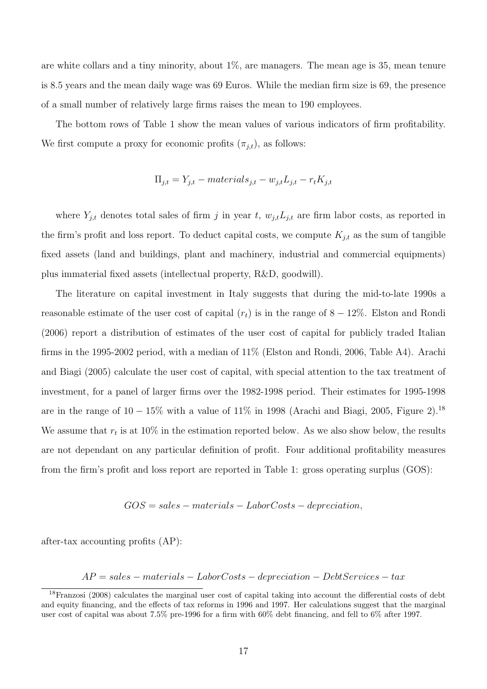are white collars and a tiny minority, about 1%, are managers. The mean age is 35, mean tenure is 8.5 years and the mean daily wage was 69 Euros. While the median firm size is 69, the presence of a small number of relatively large firms raises the mean to 190 employees.

The bottom rows of Table 1 show the mean values of various indicators of firm profitability. We first compute a proxy for economic profits  $(\pi_{j,t})$ , as follows:

$$
\Pi_{j,t} = Y_{j,t} - materials_{j,t} - w_{j,t}L_{j,t} - r_tK_{j,t}
$$

where  $Y_{j,t}$  denotes total sales of firm j in year t,  $w_{j,t}L_{j,t}$  are firm labor costs, as reported in the firm's profit and loss report. To deduct capital costs, we compute  $K_{j,t}$  as the sum of tangible fixed assets (land and buildings, plant and machinery, industrial and commercial equipments) plus immaterial fixed assets (intellectual property, R&D, goodwill).

The literature on capital investment in Italy suggests that during the mid-to-late 1990s a reasonable estimate of the user cost of capital  $(r_t)$  is in the range of 8 – 12%. Elston and Rondi (2006) report a distribution of estimates of the user cost of capital for publicly traded Italian firms in the 1995-2002 period, with a median of 11% (Elston and Rondi, 2006, Table A4). Arachi and Biagi (2005) calculate the user cost of capital, with special attention to the tax treatment of investment, for a panel of larger firms over the 1982-1998 period. Their estimates for 1995-1998 are in the range of  $10 - 15\%$  with a value of  $11\%$  in 1998 (Arachi and Biagi, 2005, Figure 2).<sup>18</sup> We assume that  $r_t$  is at 10% in the estimation reported below. As we also show below, the results are not dependant on any particular definition of profit. Four additional profitability measures from the firm's profit and loss report are reported in Table 1: gross operating surplus (GOS):

$$
GOS = sales - materials - LaborCosts - depreciation,
$$

after-tax accounting profits (AP):

 $AP = sales - materials - LaborCosts - depreciation - DebtServicees - tax$ 

<sup>&</sup>lt;sup>18</sup>Franzosi (2008) calculates the marginal user cost of capital taking into account the differential costs of debt and equity financing, and the effects of tax reforms in 1996 and 1997. Her calculations suggest that the marginal user cost of capital was about 7.5% pre-1996 for a firm with 60% debt financing, and fell to 6% after 1997.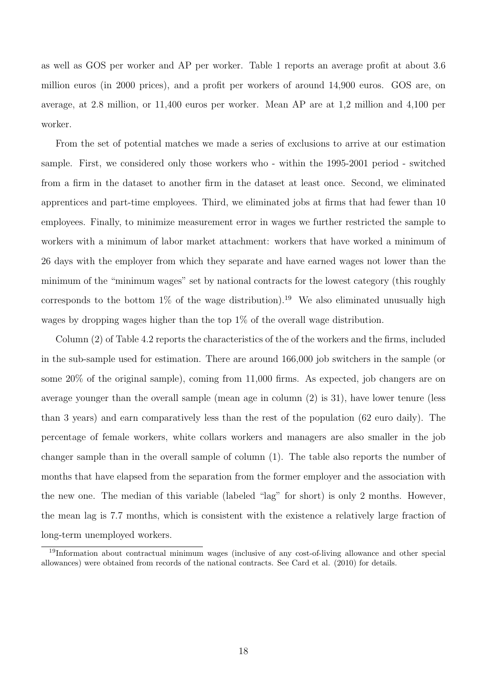as well as GOS per worker and AP per worker. Table 1 reports an average profit at about 3.6 million euros (in 2000 prices), and a profit per workers of around 14,900 euros. GOS are, on average, at 2.8 million, or 11,400 euros per worker. Mean AP are at 1,2 million and 4,100 per worker.

From the set of potential matches we made a series of exclusions to arrive at our estimation sample. First, we considered only those workers who - within the 1995-2001 period - switched from a firm in the dataset to another firm in the dataset at least once. Second, we eliminated apprentices and part-time employees. Third, we eliminated jobs at firms that had fewer than 10 employees. Finally, to minimize measurement error in wages we further restricted the sample to workers with a minimum of labor market attachment: workers that have worked a minimum of 26 days with the employer from which they separate and have earned wages not lower than the minimum of the "minimum wages" set by national contracts for the lowest category (this roughly corresponds to the bottom  $1\%$  of the wage distribution).<sup>19</sup> We also eliminated unusually high wages by dropping wages higher than the top 1% of the overall wage distribution.

Column (2) of Table 4.2 reports the characteristics of the of the workers and the firms, included in the sub-sample used for estimation. There are around 166,000 job switchers in the sample (or some 20% of the original sample), coming from 11,000 firms. As expected, job changers are on average younger than the overall sample (mean age in column (2) is 31), have lower tenure (less than 3 years) and earn comparatively less than the rest of the population (62 euro daily). The percentage of female workers, white collars workers and managers are also smaller in the job changer sample than in the overall sample of column (1). The table also reports the number of months that have elapsed from the separation from the former employer and the association with the new one. The median of this variable (labeled "lag" for short) is only 2 months. However, the mean lag is 7.7 months, which is consistent with the existence a relatively large fraction of long-term unemployed workers.

<sup>&</sup>lt;sup>19</sup>Information about contractual minimum wages (inclusive of any cost-of-living allowance and other special allowances) were obtained from records of the national contracts. See Card et al. (2010) for details.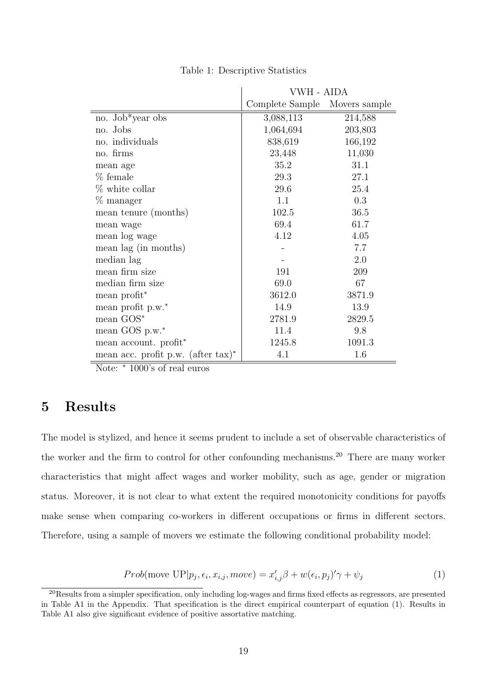|                                              | VWH - AIDA      |               |
|----------------------------------------------|-----------------|---------------|
|                                              | Complete Sample | Movers sample |
| no. Job*year obs                             | 3,088,113       | 214,588       |
| no. Jobs                                     | 1,064,694       | 203,803       |
| no. individuals                              | 838,619         | 166,192       |
| no. firms                                    | 23,448          | 11,030        |
| mean age                                     | 35.2            | 31.1          |
| $%$ female                                   | 29.3            | 27.1          |
| $%$ white collar                             | 29.6            | 25.4          |
| % manager                                    | 1.1             | 0.3           |
| mean tenure (months)                         | 102.5           | 36.5          |
| mean wage                                    | 69.4            | 61.7          |
| mean log wage                                | 4.12            | 4.05          |
| mean lag (in months)                         |                 | 7.7           |
| median lag                                   |                 | 2.0           |
| mean firm size                               | 191             | 209           |
| median firm size                             | 69.0            | 67            |
| mean profit <sup>*</sup>                     | 3612.0          | 3871.9        |
| mean profit p.w.*                            | 14.9            | 13.9          |
| mean $GOS^*$                                 | 2781.9          | 2829.5        |
| mean GOS p.w.*                               | 11.4            | 9.8           |
| mean account. profit <sup>*</sup>            | 1245.8          | 1091.3        |
| mean acc. profit p.w. (after $\text{tax}$ )* | 4.1             | 1.6           |

Table 1: Descriptive Statistics

Note: <sup>∗</sup> 1000's of real euros

# 5 Results

The model is stylized, and hence it seems prudent to include a set of observable characteristics of the worker and the firm to control for other confounding mechanisms.<sup>20</sup> There are many worker characteristics that might affect wages and worker mobility, such as age, gender or migration status. Moreover, it is not clear to what extent the required monotonicity conditions for payoffs make sense when comparing co-workers in different occupations or firms in different sectors. Therefore, using a sample of movers we estimate the following conditional probability model:

$$
Prob(\text{move UP}|p_j, \epsilon_i, x_{i,j}, move) = x'_{i,j}\beta + w(\epsilon_i, p_j)'\gamma + \psi_j
$$
\n(1)

 $^{20}$ Results from a simpler specification, only including log-wages and firms fixed effects as regressors, are presented in Table A1 in the Appendix. That specification is the direct empirical counterpart of equation (1). Results in Table A1 also give significant evidence of positive assortative matching.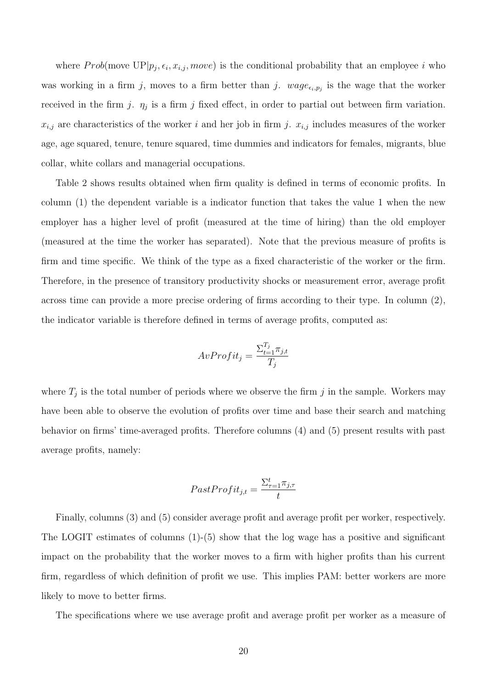where  $Prob(\text{move } UP|p_j, \epsilon_i, x_{i,j}, move)$  is the conditional probability that an employee i who was working in a firm j, moves to a firm better than j.  $wage_{\epsilon_i,p_j}$  is the wage that the worker received in the firm j.  $\eta_j$  is a firm j fixed effect, in order to partial out between firm variation.  $x_{i,j}$  are characteristics of the worker i and her job in firm j.  $x_{i,j}$  includes measures of the worker age, age squared, tenure, tenure squared, time dummies and indicators for females, migrants, blue collar, white collars and managerial occupations.

Table 2 shows results obtained when firm quality is defined in terms of economic profits. In column (1) the dependent variable is a indicator function that takes the value 1 when the new employer has a higher level of profit (measured at the time of hiring) than the old employer (measured at the time the worker has separated). Note that the previous measure of profits is firm and time specific. We think of the type as a fixed characteristic of the worker or the firm. Therefore, in the presence of transitory productivity shocks or measurement error, average profit across time can provide a more precise ordering of firms according to their type. In column (2), the indicator variable is therefore defined in terms of average profits, computed as:

$$
AvProfit_j = \frac{\sum_{t=1}^{T_j} \pi_{j,t}}{T_j}
$$

where  $T_j$  is the total number of periods where we observe the firm j in the sample. Workers may have been able to observe the evolution of profits over time and base their search and matching behavior on firms' time-averaged profits. Therefore columns (4) and (5) present results with past average profits, namely:

$$
FastProfit_{j,t} = \frac{\Sigma_{\tau=1}^{t} \pi_{j,\tau}}{t}
$$

Finally, columns (3) and (5) consider average profit and average profit per worker, respectively. The LOGIT estimates of columns  $(1)$ - $(5)$  show that the log wage has a positive and significant impact on the probability that the worker moves to a firm with higher profits than his current firm, regardless of which definition of profit we use. This implies PAM: better workers are more likely to move to better firms.

The specifications where we use average profit and average profit per worker as a measure of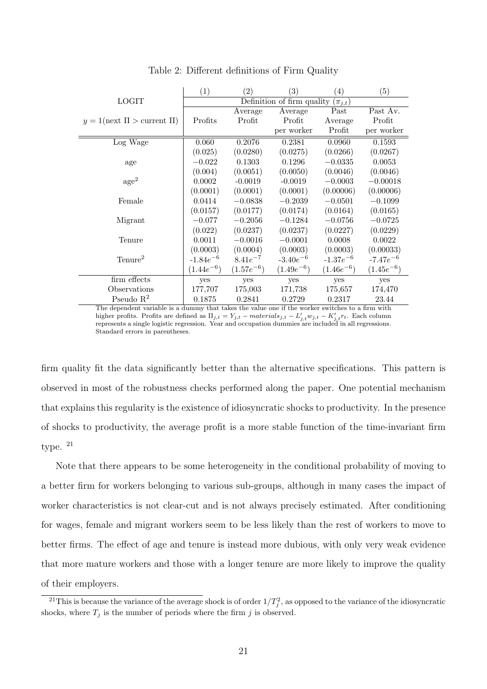|                                       | (1)            | $\left( 2\right)$ | (3)                        | $\left(4\right)$ | (5)            |
|---------------------------------------|----------------|-------------------|----------------------------|------------------|----------------|
| <b>LOGIT</b>                          |                |                   | Definition of firm quality | $(\pi_{j,t})$    |                |
|                                       |                | Average           | Average                    | Past             | Past Av.       |
| $y = 1$ (next $\Pi >$ current $\Pi$ ) | Profits        | Profit            | Profit                     | Average          | Profit         |
|                                       |                |                   | per worker                 | Profit           | per worker     |
| Log Wage                              | 0.060          | 0.2076            | 0.2381                     | 0.0960           | 0.1593         |
|                                       | (0.025)        | (0.0280)          | (0.0275)                   | (0.0266)         | (0.0267)       |
| age                                   | $-0.022$       | 0.1303            | 0.1296                     | $-0.0335$        | 0.0053         |
|                                       | (0.004)        | (0.0051)          | (0.0050)                   | (0.0046)         | (0.0046)       |
| $\rm age^2$                           | 0.0002         | $-0.0019$         | $-0.0019$                  | $-0.0003$        | $-0.00018$     |
|                                       | (0.0001)       | (0.0001)          | (0.0001)                   | (0.00006)        | (0.00006)      |
| Female                                | 0.0414         | $-0.0838$         | $-0.2039$                  | $-0.0501$        | $-0.1099$      |
|                                       | (0.0157)       | (0.0177)          | (0.0174)                   | (0.0164)         | (0.0165)       |
| Migrant                               | $-0.077$       | $-0.2056$         | $-0.1284$                  | $-0.0756$        | $-0.0725$      |
|                                       | (0.022)        | (0.0237)          | (0.0237)                   | (0.0227)         | (0.0229)       |
| Tenure                                | 0.0011         | $-0.0016$         | $-0.0001$                  | 0.0008           | 0.0022         |
|                                       | (0.0003)       | (0.0004)          | (0.0003)                   | (0.0003)         | (0.00033)      |
| Tenure <sup>2</sup>                   | $-1.84e^{-6}$  | $8.41e^{-7}$      | $-3.40e^{-6}$              | $-1.37e^{-6}$    | $-7.47e^{-6}$  |
|                                       | $(1.44e^{-6})$ | $(1.57e^{-6})$    | $(1.49e^{-6})$             | $(1.46e^{-6})$   | $(1.45e^{-6})$ |
| firm effects                          | yes            | yes               | yes                        | yes              | yes            |
| Observations                          | 177,707        | 175,003           | 171,738                    | 175,657          | 174,470        |
| Pseudo $R^2$                          | 0.1875         | 0.2841            | 0.2729                     | 0.2317           | 23.44          |

Table 2: Different definitions of Firm Quality

The dependent variable is a dummy that takes the value one if the worker switches to a firm with higher profits. Profits are defined as  $\Pi_{j,t} = Y_{j,t} - materials_{j,t} - L'_{j,t}w_{j,t} - K'_{j,t}r_t$ . Each column represents a single logistic regression. Year and occupation dummies are included in all regressions. Standard errors in parentheses.

firm quality fit the data significantly better than the alternative specifications. This pattern is observed in most of the robustness checks performed along the paper. One potential mechanism that explains this regularity is the existence of idiosyncratic shocks to productivity. In the presence of shocks to productivity, the average profit is a more stable function of the time-invariant firm type. <sup>21</sup>

Note that there appears to be some heterogeneity in the conditional probability of moving to a better firm for workers belonging to various sub-groups, although in many cases the impact of worker characteristics is not clear-cut and is not always precisely estimated. After conditioning for wages, female and migrant workers seem to be less likely than the rest of workers to move to better firms. The effect of age and tenure is instead more dubious, with only very weak evidence that more mature workers and those with a longer tenure are more likely to improve the quality of their employers.

<sup>&</sup>lt;sup>21</sup>This is because the variance of the average shock is of order  $1/T_j^2$ , as opposed to the variance of the idiosyncratic shocks, where  $T_j$  is the number of periods where the firm  $j$  is observed.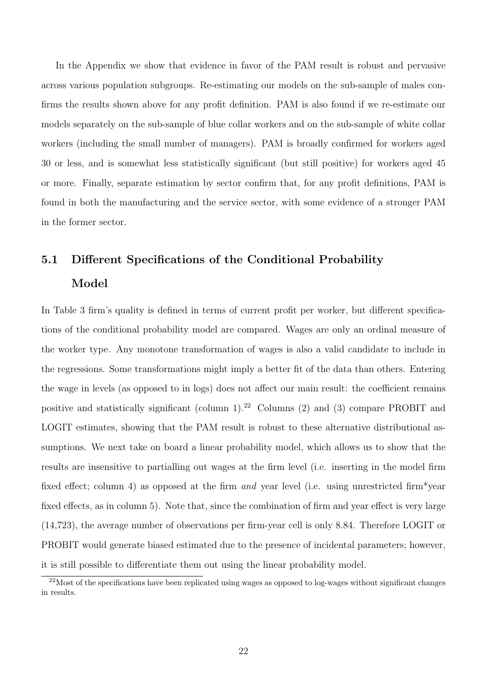In the Appendix we show that evidence in favor of the PAM result is robust and pervasive across various population subgroups. Re-estimating our models on the sub-sample of males confirms the results shown above for any profit definition. PAM is also found if we re-estimate our models separately on the sub-sample of blue collar workers and on the sub-sample of white collar workers (including the small number of managers). PAM is broadly confirmed for workers aged 30 or less, and is somewhat less statistically significant (but still positive) for workers aged 45 or more. Finally, separate estimation by sector confirm that, for any profit definitions, PAM is found in both the manufacturing and the service sector, with some evidence of a stronger PAM in the former sector.

# 5.1 Different Specifications of the Conditional Probability Model

In Table 3 firm's quality is defined in terms of current profit per worker, but different specifications of the conditional probability model are compared. Wages are only an ordinal measure of the worker type. Any monotone transformation of wages is also a valid candidate to include in the regressions. Some transformations might imply a better fit of the data than others. Entering the wage in levels (as opposed to in logs) does not affect our main result: the coefficient remains positive and statistically significant (column  $1$ ).<sup>22</sup> Columns (2) and (3) compare PROBIT and LOGIT estimates, showing that the PAM result is robust to these alternative distributional assumptions. We next take on board a linear probability model, which allows us to show that the results are insensitive to partialling out wages at the firm level (i.e. inserting in the model firm fixed effect; column 4) as opposed at the firm and year level (i.e. using unrestricted firm\*year fixed effects, as in column 5). Note that, since the combination of firm and year effect is very large (14,723), the average number of observations per firm-year cell is only 8.84. Therefore LOGIT or PROBIT would generate biased estimated due to the presence of incidental parameters; however, it is still possible to differentiate them out using the linear probability model.

 $22$ Most of the specifications have been replicated using wages as opposed to log-wages without significant changes in results.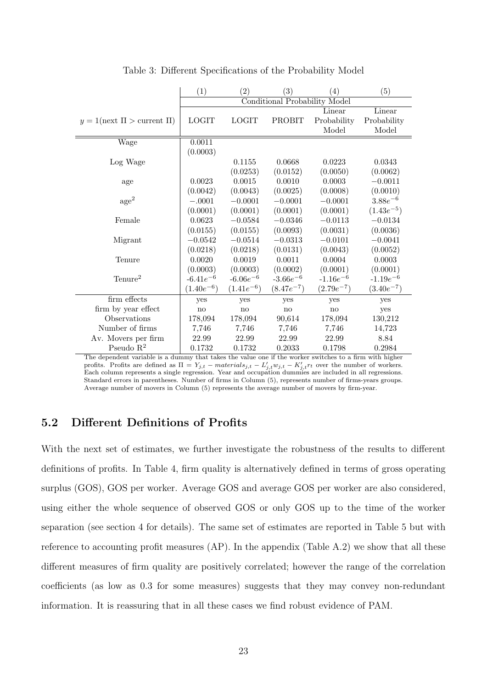|                                       | (1)            | (2)            | (3)                                  | $\left( 4\right)$ | (5)            |
|---------------------------------------|----------------|----------------|--------------------------------------|-------------------|----------------|
|                                       |                |                | <b>Conditional Probability Model</b> |                   |                |
|                                       |                |                |                                      | Linear            | Linear         |
| $y = 1$ (next $\Pi >$ current $\Pi$ ) | <b>LOGIT</b>   | <b>LOGIT</b>   | PROBIT                               | Probability       | Probability    |
|                                       |                |                |                                      | Model             | Model          |
| Wage                                  | 0.0011         |                |                                      |                   |                |
|                                       | (0.0003)       |                |                                      |                   |                |
| Log Wage                              |                | 0.1155         | 0.0668                               | 0.0223            | 0.0343         |
|                                       |                | (0.0253)       | (0.0152)                             | (0.0050)          | (0.0062)       |
| age                                   | 0.0023         | 0.0015         | 0.0010                               | 0.0003            | $-0.0011$      |
|                                       | (0.0042)       | (0.0043)       | (0.0025)                             | (0.0008)          | (0.0010)       |
| $\rm{age}^2$                          | $-.0001$       | $-0.0001$      | $-0.0001$                            | $-0.0001$         | $3.88e^{-6}$   |
|                                       | (0.0001)       | (0.0001)       | (0.0001)                             | (0.0001)          | $(1.43e^{-5})$ |
| Female                                | 0.0623         | $-0.0584$      | $-0.0346$                            | $-0.0113$         | $-0.0134$      |
|                                       | (0.0155)       | (0.0155)       | (0.0093)                             | (0.0031)          | (0.0036)       |
| Migrant                               | $-0.0542$      | $-0.0514$      | $-0.0313$                            | $-0.0101$         | $-0.0041$      |
|                                       | (0.0218)       | (0.0218)       | (0.0131)                             | (0.0043)          | (0.0052)       |
| Tenure                                | 0.0020         | 0.0019         | 0.0011                               | 0.0004            | 0.0003         |
|                                       | (0.0003)       | (0.0003)       | (0.0002)                             | (0.0001)          | (0.0001)       |
| $T$ enure <sup>2</sup>                | $-6.41e^{-6}$  | $-6.06e^{-6}$  | $-3.66e^{-6}$                        | $-1.16e^{-6}$     | $-1.19e^{-6}$  |
|                                       | $(1.40e^{-6})$ | $(1.41e^{-6})$ | $(8.47e^{-7})$                       | $(2.79e^{-7})$    | $(3.40e^{-7})$ |
| firm effects                          | yes            | yes            | yes                                  | yes               | yes            |
| firm by year effect                   | no             | no             | no                                   | no                | yes            |
| <b>Observations</b>                   | 178,094        | 178,094        | 90,614                               | 178,094           | 130,212        |
| Number of firms                       | 7,746          | 7,746          | 7,746                                | 7,746             | 14,723         |
| Av. Movers per firm                   | 22.99          | 22.99          | 22.99                                | 22.99             | 8.84           |
| Pseudo $R^2$                          | 0.1732         | 0.1732         | 0.2033                               | 0.1798            | 0.2984         |

Table 3: Different Specifications of the Probability Model

The dependent variable is a dummy that takes the value one if the worker switches to a firm with higher profits. Profits are defined as  $\Pi = Y_{j,t} - materials_{j,t} - L'_{j,t}w_{j,t} - K'_{j,t}r_t$  over the number of workers.<br>Each column represents a single regression. Year and occupation dummies are included in all regressions. Standard errors in parentheses. Number of firms in Column (5), represents number of firms-years groups. Average number of movers in Column (5) represents the average number of movers by firm-year.

# 5.2 Different Definitions of Profits

With the next set of estimates, we further investigate the robustness of the results to different definitions of profits. In Table 4, firm quality is alternatively defined in terms of gross operating surplus (GOS), GOS per worker. Average GOS and average GOS per worker are also considered, using either the whole sequence of observed GOS or only GOS up to the time of the worker separation (see section 4 for details). The same set of estimates are reported in Table 5 but with reference to accounting profit measures  $AP$ ). In the appendix (Table A.2) we show that all these different measures of firm quality are positively correlated; however the range of the correlation coefficients (as low as 0.3 for some measures) suggests that they may convey non-redundant information. It is reassuring that in all these cases we find robust evidence of PAM.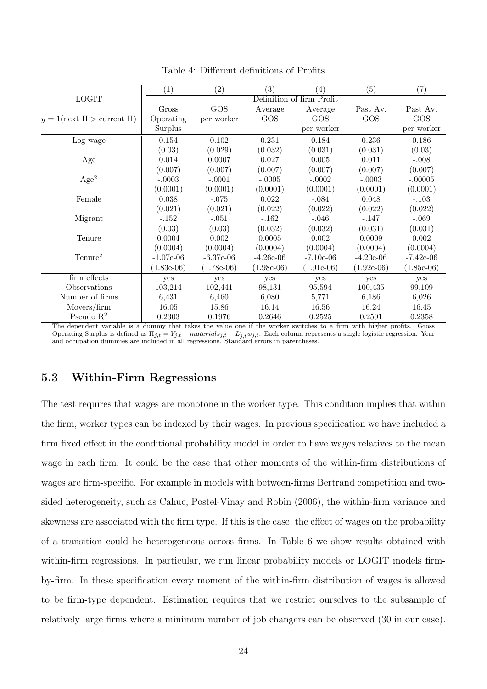|                                       | (1)          | (2)          | (3)          | $\left( 4\right)$         | (5)          | (7)          |
|---------------------------------------|--------------|--------------|--------------|---------------------------|--------------|--------------|
| <b>LOGIT</b>                          |              |              |              | Definition of firm Profit |              |              |
|                                       | Gross        | GOS          | Average      | Average                   | Past Av.     | Past Av.     |
| $y = 1$ (next $\Pi >$ current $\Pi$ ) | Operating    | per worker   | GOS          | GOS                       | GOS          | GOS          |
|                                       | Surplus      |              |              | per worker                |              | per worker   |
| Log-wage                              | 0.154        | 0.102        | 0.231        | 0.184                     | 0.236        | 0.186        |
|                                       | (0.03)       | (0.029)      | (0.032)      | (0.031)                   | (0.031)      | (0.03)       |
| Age                                   | 0.014        | 0.0007       | 0.027        | 0.005                     | 0.011        | $-.008$      |
|                                       | (0.007)      | (0.007)      | (0.007)      | (0.007)                   | (0.007)      | (0.007)      |
| Age <sup>2</sup>                      | $-.0003$     | $-.0001$     | $-.0005$     | $-.0002$                  | $-.0003$     | $-.00005$    |
|                                       | (0.0001)     | (0.0001)     | (0.0001)     | (0.0001)                  | (0.0001)     | (0.0001)     |
| Female                                | 0.038        | $-.075$      | 0.022        | $-.084$                   | 0.048        | $-.103$      |
|                                       | (0.021)      | (0.021)      | (0.022)      | (0.022)                   | (0.022)      | (0.022)      |
| Migrant                               | $-.152$      | $-.051$      | $-.162$      | $-.046$                   | $-.147$      | $-.069$      |
|                                       | (0.03)       | (0.03)       | (0.032)      | (0.032)                   | (0.031)      | (0.031)      |
| Tenure                                | 0.0004       | 0.002        | 0.0005       | 0.002                     | 0.0009       | 0.002        |
|                                       | (0.0004)     | (0.0004)     | (0.0004)     | (0.0004)                  | (0.0004)     | (0.0004)     |
| Tenure <sup>2</sup>                   | $-1.07e-06$  | $-6.37e-06$  | $-4.26e-06$  | $-7.10e-06$               | $-4.20e-06$  | $-7.42e-06$  |
|                                       | $(1.83e-06)$ | $(1.78e-06)$ | $(1.98e-06)$ | $(1.91e-06)$              | $(1.92e-06)$ | $(1.85e-06)$ |
| firm effects                          | yes          | yes          | yes          | yes                       | yes          | yes          |
| Observations                          | 103,214      | 102,441      | 98,131       | 95,594                    | 100,435      | 99,109       |
| Number of firms                       | 6,431        | 6,460        | 6,080        | 5,771                     | 6,186        | 6,026        |
| Movers/firm                           | 16.05        | 15.86        | 16.14        | 16.56                     | 16.24        | 16.45        |
| Pseudo $\mathbb{R}^2$                 | 0.2303       | 0.1976       | 0.2646       | 0.2525                    | 0.2591       | 0.2358       |

Table 4: Different definitions of Profits

The dependent variable is a dummy that takes the value one if the worker switches to a firm with higher profits. Gross Operating Surplus is defined as  $\Pi_{j,t} = Y_{j,t} - materials_{j,t} - L'_{j,t}w_{j,t}$ . Each column represents a single logistic regression. Year and occupation dummies are included in all regressions. Standard errors in parentheses.

### 5.3 Within-Firm Regressions

The test requires that wages are monotone in the worker type. This condition implies that within the firm, worker types can be indexed by their wages. In previous specification we have included a firm fixed effect in the conditional probability model in order to have wages relatives to the mean wage in each firm. It could be the case that other moments of the within-firm distributions of wages are firm-specific. For example in models with between-firms Bertrand competition and twosided heterogeneity, such as Cahuc, Postel-Vinay and Robin (2006), the within-firm variance and skewness are associated with the firm type. If this is the case, the effect of wages on the probability of a transition could be heterogeneous across firms. In Table 6 we show results obtained with within-firm regressions. In particular, we run linear probability models or LOGIT models firmby-firm. In these specification every moment of the within-firm distribution of wages is allowed to be firm-type dependent. Estimation requires that we restrict ourselves to the subsample of relatively large firms where a minimum number of job changers can be observed (30 in our case).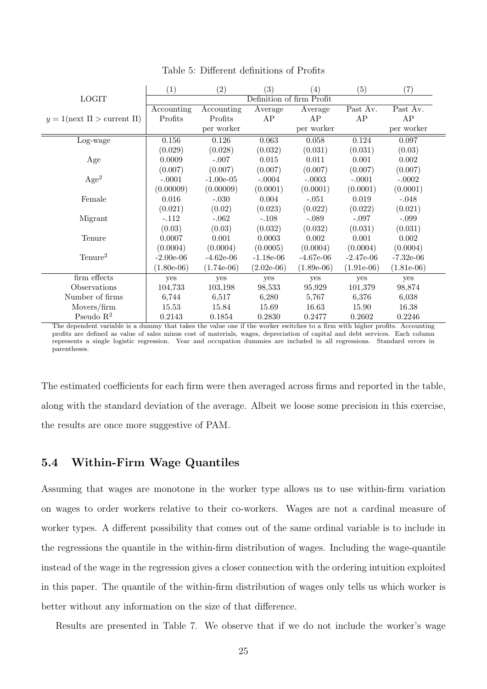|                                       | $\left( 1\right)$ | (2)          | $\left( 3\right)$         | $\left( 4\right)$ | (5)          | $\left( 7\right)$ |
|---------------------------------------|-------------------|--------------|---------------------------|-------------------|--------------|-------------------|
| <b>LOGIT</b>                          |                   |              | Definition of firm Profit |                   |              |                   |
|                                       | Accounting        | Accounting   | Average                   | Average           | Past Av.     | Past Av.          |
| $y = 1$ (next $\Pi >$ current $\Pi$ ) | Profits           | Profits      | AP                        | AP                | AP           | AP                |
|                                       |                   | per worker   |                           | per worker        |              | per worker        |
| Log-wage                              | 0.156             | 0.126        | 0.063                     | 0.058             | 0.124        | 0.097             |
|                                       | (0.029)           | (0.028)      | (0.032)                   | (0.031)           | (0.031)      | (0.03)            |
| Age                                   | 0.0009            | $-.007$      | 0.015                     | 0.011             | 0.001        | 0.002             |
|                                       | (0.007)           | (0.007)      | (0.007)                   | (0.007)           | (0.007)      | (0.007)           |
| Age <sup>2</sup>                      | $-.0001$          | $-1.00e-05$  | $-.0004$                  | $-.0003$          | $-.0001$     | $-.0002$          |
|                                       | (0.00009)         | (0.00009)    | (0.0001)                  | (0.0001)          | (0.0001)     | (0.0001)          |
| Female                                | 0.016             | $-.030$      | 0.004                     | $-.051$           | 0.019        | $-.048$           |
|                                       | (0.021)           | (0.02)       | (0.023)                   | (0.022)           | (0.022)      | (0.021)           |
| Migrant                               | $-.112$           | $-.062$      | $-.108$                   | $-.089$           | $-.097$      | $-.099$           |
|                                       | (0.03)            | (0.03)       | (0.032)                   | (0.032)           | (0.031)      | (0.031)           |
| Tenure                                | 0.0007            | 0.001        | 0.0003                    | 0.002             | 0.001        | 0.002             |
|                                       | (0.0004)          | (0.0004)     | (0.0005)                  | (0.0004)          | (0.0004)     | (0.0004)          |
| Tenure <sup>2</sup>                   | $-2.00e-06$       | $-4.62e-06$  | $-1.18e-06$               | $-4.67e-06$       | $-2.47e-06$  | $-7.32e-06$       |
|                                       | $(1.80e-06)$      | $(1.74e-06)$ | $(2.02e-06)$              | $(1.89e-06)$      | $(1.91e-06)$ | $(1.81e-06)$      |
| firm effects                          | yes               | yes          | yes                       | yes               | yes          | yes               |
| Observations                          | 104,733           | 103,198      | 98,533                    | 95,929            | 101,379      | 98,874            |
| Number of firms                       | 6,744             | 6,517        | 6,280                     | 5,767             | 6,376        | 6,038             |
| Movers/firm                           | 15.53             | 15.84        | 15.69                     | 16.63             | 15.90        | 16.38             |
| Pseudo $\mathbb{R}^2$                 | 0.2143            | 0.1854       | 0.2830                    | 0.2477            | 0.2602       | 0.2246            |

Table 5: Different definitions of Profits

The dependent variable is a dummy that takes the value one if the worker switches to a firm with higher profits. Accounting profits are defined as value of sales minus cost of materials, wages, depreciation of capital and debt services. Each column represents a single logistic regression. Year and occupation dummies are included in all regressions. Standard errors in parentheses.

The estimated coefficients for each firm were then averaged across firms and reported in the table, along with the standard deviation of the average. Albeit we loose some precision in this exercise, the results are once more suggestive of PAM.

### 5.4 Within-Firm Wage Quantiles

Assuming that wages are monotone in the worker type allows us to use within-firm variation on wages to order workers relative to their co-workers. Wages are not a cardinal measure of worker types. A different possibility that comes out of the same ordinal variable is to include in the regressions the quantile in the within-firm distribution of wages. Including the wage-quantile instead of the wage in the regression gives a closer connection with the ordering intuition exploited in this paper. The quantile of the within-firm distribution of wages only tells us which worker is better without any information on the size of that difference.

Results are presented in Table 7. We observe that if we do not include the worker's wage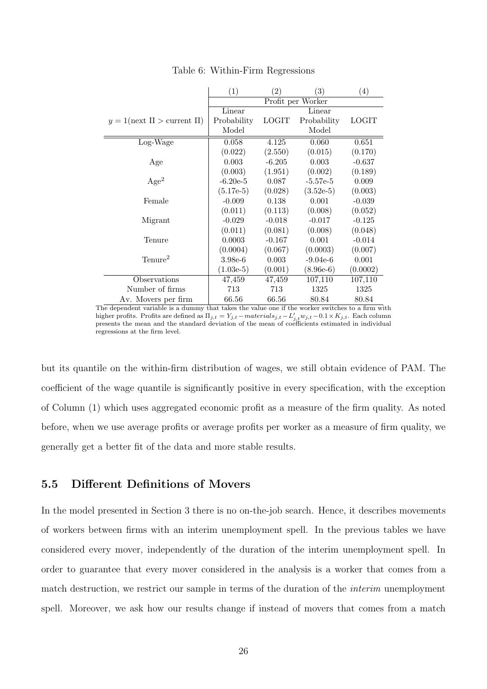|                                       | (1)         | (2)          | $\left(3\right)$  | (4)          |
|---------------------------------------|-------------|--------------|-------------------|--------------|
|                                       |             |              | Profit per Worker |              |
|                                       | Linear      |              | Linear            |              |
| $y = 1$ (next $\Pi >$ current $\Pi$ ) | Probability | <b>LOGIT</b> | Probability       | <b>LOGIT</b> |
|                                       | Model       |              | Model             |              |
| Log-Wage                              | 0.058       | 4.125        | 0.060             | 0.651        |
|                                       | (0.022)     | (2.550)      | (0.015)           | (0.170)      |
| Age                                   | 0.003       | $-6.205$     | 0.003             | $-0.637$     |
|                                       | (0.003)     | (1.951)      | (0.002)           | (0.189)      |
| Age <sup>2</sup>                      | $-6.20e-5$  | 0.087        | $-5.57e-5$        | 0.009        |
|                                       | $(5.17e-5)$ | (0.028)      | $(3.52e-5)$       | (0.003)      |
| Female                                | $-0.009$    | 0.138        | 0.001             | $-0.039$     |
|                                       | (0.011)     | (0.113)      | (0.008)           | (0.052)      |
| Migrant                               | $-0.029$    | $-0.018$     | $-0.017$          | $-0.125$     |
|                                       | (0.011)     | (0.081)      | (0.008)           | (0.048)      |
| Tenure                                | 0.0003      | $-0.167$     | 0.001             | $-0.014$     |
|                                       | (0.0004)    | (0.067)      | (0.0003)          | (0.007)      |
| Tenure <sup>2</sup>                   | $3.98e-6$   | 0.003        | $-9.04e-6$        | 0.001        |
|                                       | $(1.03e-5)$ | (0.001)      | $(8.96e-6)$       | (0.0002)     |
| Observations                          | 47,459      | 47,459       | 107,110           | 107,110      |
| Number of firms                       | 713         | 713          | 1325              | 1325         |
| Av. Movers per firm                   | 66.56       | 66.56        | 80.84             | 80.84        |

Table 6: Within-Firm Regressions

The dependent variable is a dummy that takes the value one if the worker switches to a firm with higher profits. Profits are defined as  $\Pi_{j,t} = Y_{j,t} - materials_{j,t} - L'_{j,t} w_{j,t} - 0.1 \times K_{j,t}$ . Each column<br>presents the mean and the standard deviation of the mean of coefficients estimated in individual regressions at the firm level.

but its quantile on the within-firm distribution of wages, we still obtain evidence of PAM. The coefficient of the wage quantile is significantly positive in every specification, with the exception of Column (1) which uses aggregated economic profit as a measure of the firm quality. As noted before, when we use average profits or average profits per worker as a measure of firm quality, we generally get a better fit of the data and more stable results.

### 5.5 Different Definitions of Movers

In the model presented in Section 3 there is no on-the-job search. Hence, it describes movements of workers between firms with an interim unemployment spell. In the previous tables we have considered every mover, independently of the duration of the interim unemployment spell. In order to guarantee that every mover considered in the analysis is a worker that comes from a match destruction, we restrict our sample in terms of the duration of the interim unemployment spell. Moreover, we ask how our results change if instead of movers that comes from a match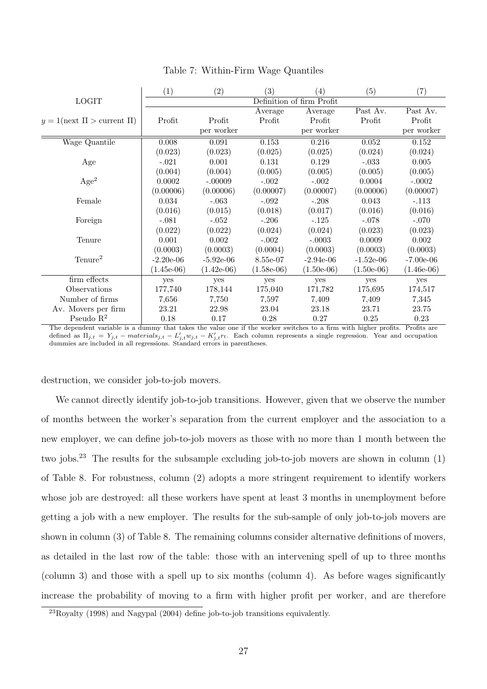|                                       | $\left( 1\right)$ | (2)          | (3)          | (4)                       | (5)          | (7)          |
|---------------------------------------|-------------------|--------------|--------------|---------------------------|--------------|--------------|
| <b>LOGIT</b>                          |                   |              |              | Definition of firm Profit |              |              |
|                                       |                   |              | Average      | Average                   | Past Av.     | Past Av.     |
| $y = 1$ (next $\Pi >$ current $\Pi$ ) | Profit            | Profit       | Profit       | Profit                    | Profit       | Profit       |
|                                       |                   | per worker   |              | per worker                |              | per worker   |
| Wage Quantile                         | 0.008             | 0.091        | 0.153        | 0.216                     | 0.052        | 0.152        |
|                                       | (0.023)           | (0.023)      | (0.025)      | (0.025)                   | (0.024)      | (0.024)      |
| Age                                   | $-.021$           | 0.001        | 0.131        | 0.129                     | $-.033$      | 0.005        |
|                                       | (0.004)           | (0.004)      | (0.005)      | (0.005)                   | (0.005)      | (0.005)      |
| Age <sup>2</sup>                      | 0.0002            | $-.00009$    | $-.002$      | $-.002$                   | 0.0004       | $-.0002$     |
|                                       | (0.00006)         | (0.00006)    | (0.00007)    | (0.00007)                 | (0.00006)    | (0.00007)    |
| Female                                | 0.034             | $-.063$      | $-.092$      | $-.208$                   | 0.043        | $-.113$      |
|                                       | (0.016)           | (0.015)      | (0.018)      | (0.017)                   | (0.016)      | (0.016)      |
| Foreign                               | $-.081$           | $-.052$      | $-.206$      | $-.125$                   | $-.078$      | $-.070$      |
|                                       | (0.022)           | (0.022)      | (0.024)      | (0.024)                   | (0.023)      | (0.023)      |
| Tenure                                | 0.001             | 0.002        | $-.002$      | $-.0003$                  | 0.0009       | 0.002        |
|                                       | (0.0003)          | (0.0003)     | (0.0004)     | (0.0003)                  | (0.0003)     | (0.0003)     |
| Tenure <sup>2</sup>                   | $-2.20e-06$       | $-5.92e-06$  | 8.55e-07     | $-2.94e-06$               | $-1.52e-06$  | $-7.00e-06$  |
|                                       | $(1.45e-06)$      | $(1.42e-06)$ | $(1.58e-06)$ | $(1.50e-06)$              | $(1.50e-06)$ | $(1.46e-06)$ |
| firm effects                          | yes               | yes          | yes          | yes                       | yes          | yes          |
| Observations                          | 177,740           | 178,144      | 175,040      | 171,782                   | 175,695      | 174,517      |
| Number of firms                       | 7,656             | 7,750        | 7,597        | 7,409                     | 7,409        | 7,345        |
| Av. Movers per firm                   | 23.21             | 22.98        | 23.04        | 23.18                     | 23.71        | 23.75        |
| Pseudo $R^2$                          | 0.18              | 0.17         | 0.28         | 0.27                      | 0.25         | 0.23         |

Table 7: Within-Firm Wage Quantiles

The dependent variable is a dummy that takes the value one if the worker switches to a firm with higher profits. Profits are defined as  $\Pi_{j,t} = Y_{j,t} - materials_{j,t} - L'_{j,t}w_{j,t} - K'_{j,t}r_t$ . Each column represents a single regression. Year and occupation dummies are included in all regressions. Standard errors in parentheses.

destruction, we consider job-to-job movers.

We cannot directly identify job-to-job transitions. However, given that we observe the number of months between the worker's separation from the current employer and the association to a new employer, we can define job-to-job movers as those with no more than 1 month between the two jobs.<sup>23</sup> The results for the subsample excluding job-to-job movers are shown in column (1) of Table 8. For robustness, column (2) adopts a more stringent requirement to identify workers whose job are destroyed: all these workers have spent at least 3 months in unemployment before getting a job with a new employer. The results for the sub-sample of only job-to-job movers are shown in column (3) of Table 8. The remaining columns consider alternative definitions of movers, as detailed in the last row of the table: those with an intervening spell of up to three months (column 3) and those with a spell up to six months (column 4). As before wages significantly increase the probability of moving to a firm with higher profit per worker, and are therefore

 $^{23}$ Royalty (1998) and Nagypal (2004) define job-to-job transitions equivalently.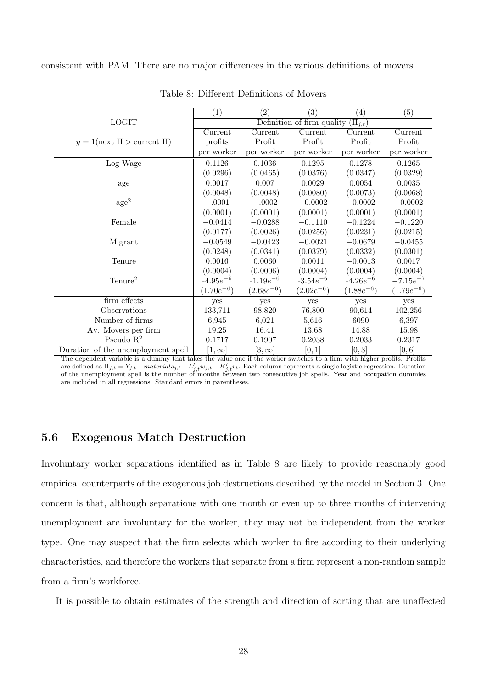consistent with PAM. There are no major differences in the various definitions of movers.

|                                       | (1)            | (2)            | (3)                                      | (4)            | (5)            |
|---------------------------------------|----------------|----------------|------------------------------------------|----------------|----------------|
| <b>LOGIT</b>                          |                |                | Definition of firm quality $(\Pi_{i,t})$ |                |                |
|                                       | Current        | Current        | Current                                  | Current        | Current        |
| $y = 1$ (next $\Pi >$ current $\Pi$ ) | profits        | Profit         | Profit                                   | Profit         | Profit         |
|                                       | per worker     | per worker     | per worker                               | per worker     | per worker     |
| Log Wage                              | 0.1126         | 0.1036         | 0.1295                                   | 0.1278         | 0.1265         |
|                                       | (0.0296)       | (0.0465)       | (0.0376)                                 | (0.0347)       | (0.0329)       |
| age                                   | 0.0017         | 0.007          | 0.0029                                   | 0.0054         | 0.0035         |
|                                       | (0.0048)       | (0.0048)       | (0.0080)                                 | (0.0073)       | (0.0068)       |
| $\rm age^2$                           | $-.0001$       | $-.0002$       | $-0.0002$                                | $-0.0002$      | $-0.0002$      |
|                                       | (0.0001)       | (0.0001)       | (0.0001)                                 | (0.0001)       | (0.0001)       |
| Female                                | $-0.0414$      | $-0.0288$      | $-0.1110$                                | $-0.1224$      | $-0.1220$      |
|                                       | (0.0177)       | (0.0026)       | (0.0256)                                 | (0.0231)       | (0.0215)       |
| Migrant                               | $-0.0549$      | $-0.0423$      | $-0.0021$                                | $-0.0679$      | $-0.0455$      |
|                                       | (0.0248)       | (0.0341)       | (0.0379)                                 | (0.0332)       | (0.0301)       |
| Tenure                                | 0.0016         | 0.0060         | 0.0011                                   | $-0.0013$      | 0.0017         |
|                                       | (0.0004)       | (0.0006)       | (0.0004)                                 | (0.0004)       | (0.0004)       |
| $T$ enure <sup>2</sup>                | $-4.95e^{-6}$  | $-1.19e^{-6}$  | $-3.54e^{-6}$                            | $-4.26e^{-6}$  | $-7.15e^{-7}$  |
|                                       | $(1.70e^{-6})$ | $(2.68e^{-6})$ | $(2.02e^{-6})$                           | $(1.88e^{-6})$ | $(1.79e^{-6})$ |
| firm effects                          | yes            | yes            | yes                                      | yes            | yes            |
| Observations                          | 133,711        | 98,820         | 76,800                                   | 90,614         | 102,256        |
| Number of firms                       | 6,945          | 6,021          | 5,616                                    | 6090           | 6,397          |
| Av. Movers per firm                   | 19.25          | 16.41          | 13.68                                    | 14.88          | 15.98          |
| Pseudo $R^2$                          | 0.1717         | 0.1907         | 0.2038                                   | 0.2033         | 0.2317         |
| Duration of the unemployment spell    | $[1,\infty]$   | $[3,\infty]$   | [0,1]                                    | [0,3]          | [0,6]          |

Table 8: Different Definitions of Movers

The dependent variable is a dummy that takes the value one if the worker switches to a firm with higher profits. Profits are defined as  $\Pi_{j,t} = Y_{j,t} - materials_{j,t} - L'_{j,t}w_{j,t} - K'_{j,t}r_t$ . Each column represents a single logistic regression. Duration<br>of the unemployment spell is the number of months between two consecutive job spells. Year and occup are included in all regressions. Standard errors in parentheses.

# 5.6 Exogenous Match Destruction

Involuntary worker separations identified as in Table 8 are likely to provide reasonably good empirical counterparts of the exogenous job destructions described by the model in Section 3. One concern is that, although separations with one month or even up to three months of intervening unemployment are involuntary for the worker, they may not be independent from the worker type. One may suspect that the firm selects which worker to fire according to their underlying characteristics, and therefore the workers that separate from a firm represent a non-random sample from a firm's workforce.

It is possible to obtain estimates of the strength and direction of sorting that are unaffected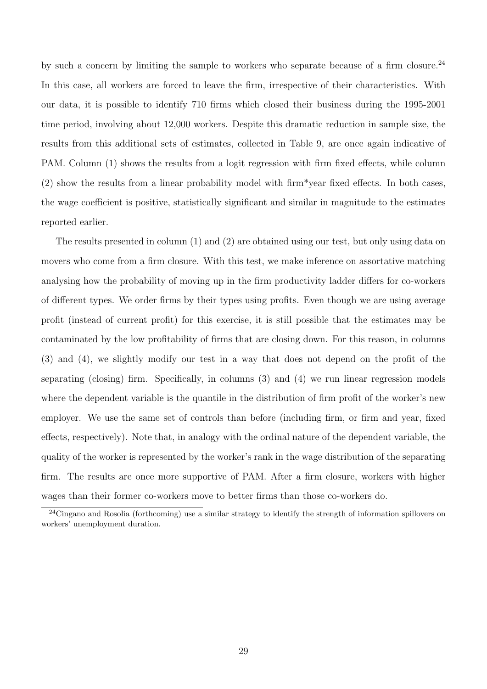by such a concern by limiting the sample to workers who separate because of a firm closure.<sup>24</sup> In this case, all workers are forced to leave the firm, irrespective of their characteristics. With our data, it is possible to identify 710 firms which closed their business during the 1995-2001 time period, involving about 12,000 workers. Despite this dramatic reduction in sample size, the results from this additional sets of estimates, collected in Table 9, are once again indicative of PAM. Column (1) shows the results from a logit regression with firm fixed effects, while column (2) show the results from a linear probability model with firm\*year fixed effects. In both cases, the wage coefficient is positive, statistically significant and similar in magnitude to the estimates reported earlier.

The results presented in column (1) and (2) are obtained using our test, but only using data on movers who come from a firm closure. With this test, we make inference on assortative matching analysing how the probability of moving up in the firm productivity ladder differs for co-workers of different types. We order firms by their types using profits. Even though we are using average profit (instead of current profit) for this exercise, it is still possible that the estimates may be contaminated by the low profitability of firms that are closing down. For this reason, in columns (3) and (4), we slightly modify our test in a way that does not depend on the profit of the separating (closing) firm. Specifically, in columns (3) and (4) we run linear regression models where the dependent variable is the quantile in the distribution of firm profit of the worker's new employer. We use the same set of controls than before (including firm, or firm and year, fixed effects, respectively). Note that, in analogy with the ordinal nature of the dependent variable, the quality of the worker is represented by the worker's rank in the wage distribution of the separating firm. The results are once more supportive of PAM. After a firm closure, workers with higher wages than their former co-workers move to better firms than those co-workers do.

<sup>&</sup>lt;sup>24</sup>Cingano and Rosolia (forthcoming) use a similar strategy to identify the strength of information spillovers on workers' unemployment duration.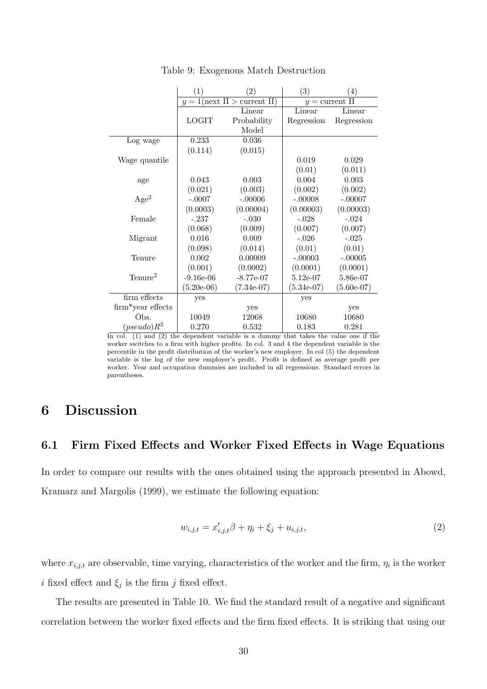|                        | (1)          | $\left( 2\right)$                     | $\left( 3\right)$ | (4)                 |
|------------------------|--------------|---------------------------------------|-------------------|---------------------|
|                        |              | $y = 1$ (next $\Pi >$ current $\Pi$ ) |                   | $y =$ current $\Pi$ |
|                        |              | Linear                                | Linear            | Linear              |
|                        | <b>LOGIT</b> | Probability                           | Regression        | Regression          |
|                        |              | Model                                 |                   |                     |
| Log wage               | 0.233        | 0.036                                 |                   |                     |
|                        | (0.114)      | (0.015)                               |                   |                     |
| Wage quantile          |              |                                       | 0.019             | 0.029               |
|                        |              |                                       | (0.01)            | (0.011)             |
| age                    | 0.043        | 0.003                                 | 0.004             | 0.003               |
|                        | (0.021)      | (0.003)                               | (0.002)           | (0.002)             |
| Age <sup>2</sup>       | $-.0007$     | $-.00006$                             | $-.00008$         | $-.00007$           |
|                        | (0.0003)     | (0.00004)                             | (0.00003)         | (0.00003)           |
| Female                 | $-.237$      | $-.030$                               | $-.028$           | $-.024$             |
|                        | (0.068)      | (0.009)                               | (0.007)           | (0.007)             |
| Migrant                | 0.016        | 0.009                                 | $-.026$           | $-.025$             |
|                        | (0.098)      | (0.014)                               | (0.01)            | (0.01)              |
| Tenure                 | 0.002        | 0.00009                               | $-.00003$         | $-.00005$           |
|                        | (0.001)      | (0.0002)                              | (0.0001)          | (0.0001)            |
| $T$ enure <sup>2</sup> | $-9.16e-06$  | $-8.77e-07$                           | $5.12e-07$        | 5.86e-07            |
|                        | $(5.20e-06)$ | $(7.34e-07)$                          | $(5.34e-07)$      | $(5.60e-07)$        |
| firm effects           | yes          |                                       | yes               |                     |
| $firm*year$ effects    |              | yes                                   |                   | yes                 |
| Obs.                   | 10049        | 12068                                 | 10680             | 10680               |
| $(pseudo)R^2$          | 0.270        | 0.532                                 | 0.183             | 0.281               |

Table 9: Exogenous Match Destruction

In col. (1) and (2) the dependent variable is a dummy that takes the value one if the worker switches to a firm with higher profits. In col. 3 and 4 the dependent variable is the percentile in the profit distribution of the worker's new employer. In col (5) the dependent variable is the log of the new employer's profit. Profit is defined as average profit per worker. Year and occupation dummies are included in all regressions. Standard errors in parentheses.

# 6 Discussion

# 6.1 Firm Fixed Effects and Worker Fixed Effects in Wage Equations

In order to compare our results with the ones obtained using the approach presented in Abowd, Kramarz and Margolis (1999), we estimate the following equation:

$$
w_{i,j,t} = x'_{i,j,t}\beta + \eta_i + \xi_j + u_{i,j,t},
$$
\n(2)

where  $x_{i,j,t}$  are observable, time varying, characteristics of the worker and the firm,  $\eta_i$  is the worker *i* fixed effect and  $\xi_j$  is the firm j fixed effect.

The results are presented in Table 10. We find the standard result of a negative and significant correlation between the worker fixed effects and the firm fixed effects. It is striking that using our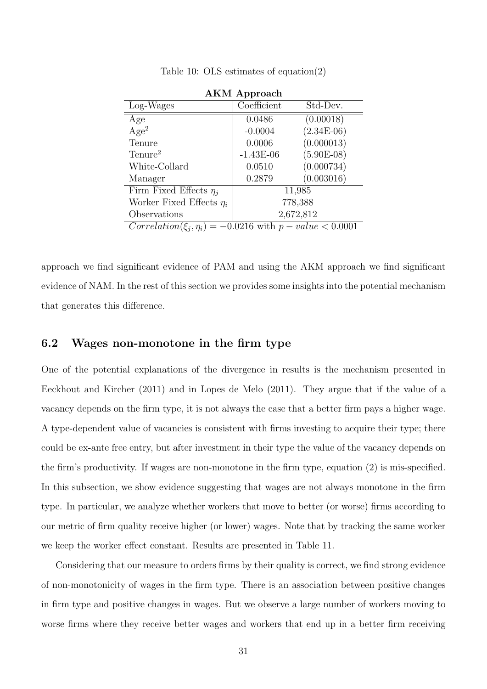|                                                                | <b>AKM</b> Approach |              |  |  |
|----------------------------------------------------------------|---------------------|--------------|--|--|
| Log-Wages                                                      | Coefficient         | Std-Dev.     |  |  |
| Age                                                            | 0.0486              | (0.00018)    |  |  |
| Age <sup>2</sup>                                               | $-0.0004$           | $(2.34E-06)$ |  |  |
| Tenure                                                         | 0.0006              | (0.000013)   |  |  |
| Tenure <sup>2</sup>                                            | $-1.43E-06$         | $(5.90E-08)$ |  |  |
| White-Collard                                                  | 0.0510              | (0.000734)   |  |  |
| Manager                                                        | 0.2879              | (0.003016)   |  |  |
| Firm Fixed Effects $\eta_i$                                    | 11,985              |              |  |  |
| Worker Fixed Effects $\eta_i$                                  | 778,388             |              |  |  |
| Observations                                                   |                     | 2,672,812    |  |  |
| $Correlation(\xi_i, \eta_i) = -0.0216$ with $p-value < 0.0001$ |                     |              |  |  |

Table 10: OLS estimates of equation(2)

approach we find significant evidence of PAM and using the AKM approach we find significant evidence of NAM. In the rest of this section we provides some insights into the potential mechanism that generates this difference.

### 6.2 Wages non-monotone in the firm type

One of the potential explanations of the divergence in results is the mechanism presented in Eeckhout and Kircher (2011) and in Lopes de Melo (2011). They argue that if the value of a vacancy depends on the firm type, it is not always the case that a better firm pays a higher wage. A type-dependent value of vacancies is consistent with firms investing to acquire their type; there could be ex-ante free entry, but after investment in their type the value of the vacancy depends on the firm's productivity. If wages are non-monotone in the firm type, equation (2) is mis-specified. In this subsection, we show evidence suggesting that wages are not always monotone in the firm type. In particular, we analyze whether workers that move to better (or worse) firms according to our metric of firm quality receive higher (or lower) wages. Note that by tracking the same worker we keep the worker effect constant. Results are presented in Table 11.

Considering that our measure to orders firms by their quality is correct, we find strong evidence of non-monotonicity of wages in the firm type. There is an association between positive changes in firm type and positive changes in wages. But we observe a large number of workers moving to worse firms where they receive better wages and workers that end up in a better firm receiving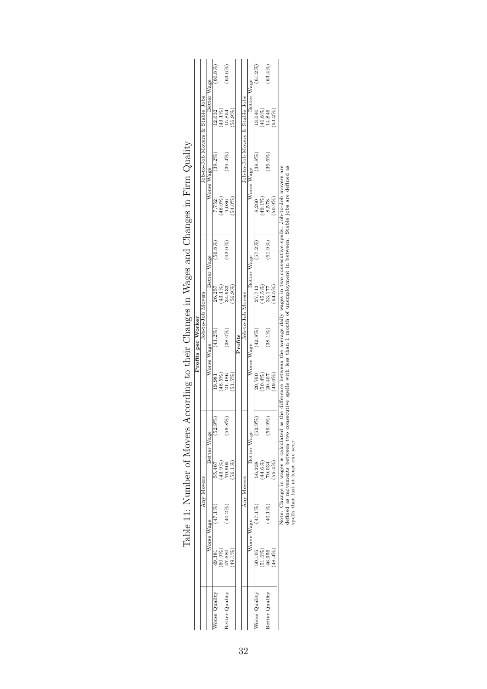|                |            |            |            |                                                                                                      |            | Profits per Worker |             |            |                       |                                 |             |            |
|----------------|------------|------------|------------|------------------------------------------------------------------------------------------------------|------------|--------------------|-------------|------------|-----------------------|---------------------------------|-------------|------------|
|                |            |            | Any Movers |                                                                                                      |            | Job-to-Job Movers  |             |            |                       | Job-to-Job Movers & Stable Jobs |             |            |
|                |            | Worse Wage |            | Better Wage                                                                                          |            | Worse Wage         | Better Wage |            |                       | Worse Wage                      | Better Wage |            |
| Vorse Quality  | 49,381     | $47.1\%$   | 55.467     | $(52.9\%)$                                                                                           | 19,981     | $(43.2\%)$         | 26,257      | $56.8\%$   | 7,752                 | $(39.2\%)$                      | 12,032      | $(60.8\%)$ |
|                | $(90.9\%)$ |            | 43.9%      |                                                                                                      | $(48.5\%)$ |                    | $(43.1\%)$  |            | $(46.0\%)$            |                                 | $(43.1\%)$  |            |
| Better Quality | 47,680     | $(40.2\%)$ | 70,905     | $(59.8\%)$                                                                                           | 21,186     | $(38.0\%)$         | 34,633      | $(62.0\%)$ | 9,086                 | $(36.4\%)$                      | 15.854      | $(63.6\%)$ |
|                | 49.1%      |            | 56.1%      |                                                                                                      | 51.5%      |                    | $56.9\%$    |            | 54.0%                 |                                 | 56.9%       |            |
|                |            |            |            |                                                                                                      |            | Profits            |             |            |                       |                                 |             |            |
|                |            |            | Any Movers |                                                                                                      |            | Job-to-Job Movers  |             |            |                       | Job-to-Job Movers & Stable Jobs |             |            |
|                |            | Worse Wage |            | Better Wage                                                                                          |            | Worse Wage         | Better Wage |            |                       | Worse Wage                      | Better Wage |            |
| Vorse Quality  | 50,105     | $47.1\%$   | 56,338     | $(52.9\%)$                                                                                           | 20,760     | $(42.8\%)$         | 27,713      | $(57.2\%)$ | 8,260                 | $(38.8\%)$                      | 13,040      | $(61.2\%)$ |
|                | $(51.6\%)$ |            | 44.6%      |                                                                                                      | (50.4%)    |                    | $(45.5\%)$  |            | $(49.1\%)$<br>$8,578$ |                                 | $(46.8\%)$  |            |
| Better Quality | 46,956     | $(40.1\%)$ | 0.034      | $(59.9\%)$                                                                                           | 20,407     | $(38.1\%)$         | 33,177      | (61.9%     |                       | $(36.6\%)$                      | 14,846      | $(63.4\%)$ |
|                | 48.4%      |            | 55.4%      |                                                                                                      | 49.6%      |                    | 54.5%       |            | 50.9%                 |                                 | $53.2\%$    |            |
|                |            |            |            | 1999年1月1日,中国的国家的国家的"国家",中国的"国家"的"国家"的"国家",中国的"国家"的"国家",中国的"国家"的"国家",中国的"国家"的"国家",中国的"国家",中国的"国家",中国的 |            |                    |             |            |                       |                                 |             |            |

| ļ                       |                                                                            |
|-------------------------|----------------------------------------------------------------------------|
| $\overline{1}$          |                                                                            |
|                         |                                                                            |
| <br> <br>               |                                                                            |
| j                       |                                                                            |
|                         | ֖֖֖֖֖֖֖֖֧֪ׅ֖֧֪ׅ֖֧֪ׅ֖֧֪ׅ֖֧֪֪֪֧֪֪֧֧֧֧֧֚֚֚֚֚֚֚֚֚֚֚֚֚֚֚֚֚֚֡֝֝֝֝֝֝֝֝֝֬֝֬֝֬֞֝֬֝֬ |
| )                       |                                                                            |
|                         |                                                                            |
|                         |                                                                            |
| l<br>$Tab$ <sup>1</sup> |                                                                            |

Note: Change in wages is calculated as the difference between the average daily wages in two consecutive spells. Job-to-Job movers are<br>defined as movements between two consecutive spells with less than 1 month of unemploym Note: Change in wages is calculated as the difference between the average daily wages in two consecutive spells. Job-to-Job movers are defined as movements between two consecutive spells with less than 1 month of unemployment in between. Stable jobs are defined as

spells that last at least one year.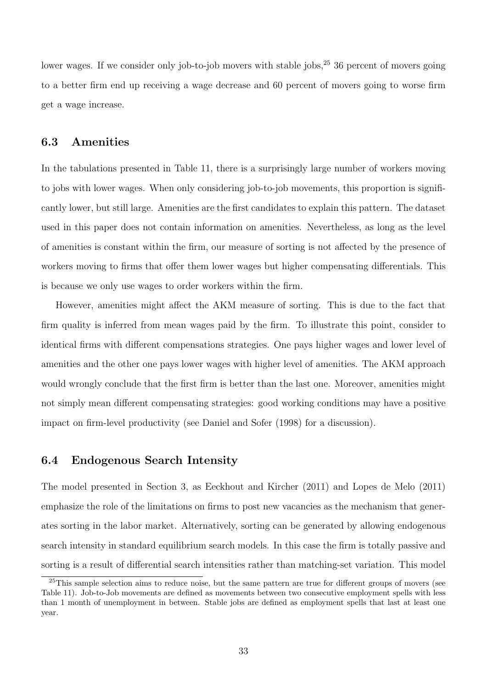lower wages. If we consider only job-to-job movers with stable jobs,  $2<sup>5</sup>$  36 percent of movers going to a better firm end up receiving a wage decrease and 60 percent of movers going to worse firm get a wage increase.

## 6.3 Amenities

In the tabulations presented in Table 11, there is a surprisingly large number of workers moving to jobs with lower wages. When only considering job-to-job movements, this proportion is significantly lower, but still large. Amenities are the first candidates to explain this pattern. The dataset used in this paper does not contain information on amenities. Nevertheless, as long as the level of amenities is constant within the firm, our measure of sorting is not affected by the presence of workers moving to firms that offer them lower wages but higher compensating differentials. This is because we only use wages to order workers within the firm.

However, amenities might affect the AKM measure of sorting. This is due to the fact that firm quality is inferred from mean wages paid by the firm. To illustrate this point, consider to identical firms with different compensations strategies. One pays higher wages and lower level of amenities and the other one pays lower wages with higher level of amenities. The AKM approach would wrongly conclude that the first firm is better than the last one. Moreover, amenities might not simply mean different compensating strategies: good working conditions may have a positive impact on firm-level productivity (see Daniel and Sofer (1998) for a discussion).

### 6.4 Endogenous Search Intensity

The model presented in Section 3, as Eeckhout and Kircher (2011) and Lopes de Melo (2011) emphasize the role of the limitations on firms to post new vacancies as the mechanism that generates sorting in the labor market. Alternatively, sorting can be generated by allowing endogenous search intensity in standard equilibrium search models. In this case the firm is totally passive and sorting is a result of differential search intensities rather than matching-set variation. This model

<sup>&</sup>lt;sup>25</sup>This sample selection aims to reduce noise, but the same pattern are true for different groups of movers (see Table 11). Job-to-Job movements are defined as movements between two consecutive employment spells with less than 1 month of unemployment in between. Stable jobs are defined as employment spells that last at least one year.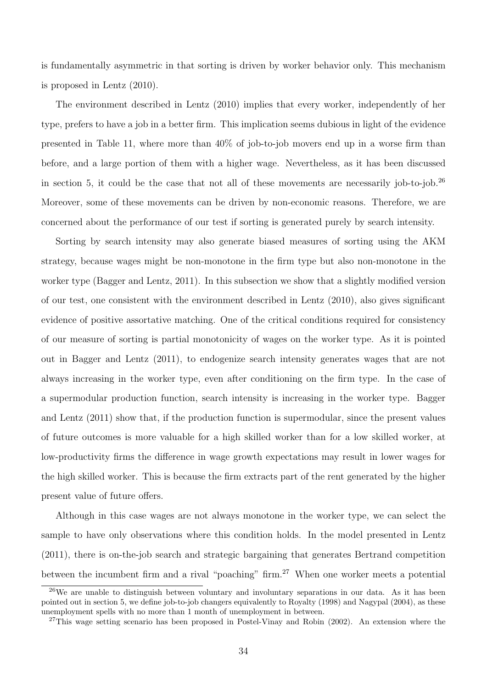is fundamentally asymmetric in that sorting is driven by worker behavior only. This mechanism is proposed in Lentz (2010).

The environment described in Lentz (2010) implies that every worker, independently of her type, prefers to have a job in a better firm. This implication seems dubious in light of the evidence presented in Table 11, where more than 40% of job-to-job movers end up in a worse firm than before, and a large portion of them with a higher wage. Nevertheless, as it has been discussed in section 5, it could be the case that not all of these movements are necessarily job-to-job.<sup>26</sup> Moreover, some of these movements can be driven by non-economic reasons. Therefore, we are concerned about the performance of our test if sorting is generated purely by search intensity.

Sorting by search intensity may also generate biased measures of sorting using the AKM strategy, because wages might be non-monotone in the firm type but also non-monotone in the worker type (Bagger and Lentz, 2011). In this subsection we show that a slightly modified version of our test, one consistent with the environment described in Lentz (2010), also gives significant evidence of positive assortative matching. One of the critical conditions required for consistency of our measure of sorting is partial monotonicity of wages on the worker type. As it is pointed out in Bagger and Lentz (2011), to endogenize search intensity generates wages that are not always increasing in the worker type, even after conditioning on the firm type. In the case of a supermodular production function, search intensity is increasing in the worker type. Bagger and Lentz (2011) show that, if the production function is supermodular, since the present values of future outcomes is more valuable for a high skilled worker than for a low skilled worker, at low-productivity firms the difference in wage growth expectations may result in lower wages for the high skilled worker. This is because the firm extracts part of the rent generated by the higher present value of future offers.

Although in this case wages are not always monotone in the worker type, we can select the sample to have only observations where this condition holds. In the model presented in Lentz (2011), there is on-the-job search and strategic bargaining that generates Bertrand competition between the incumbent firm and a rival "poaching" firm.<sup>27</sup> When one worker meets a potential

<sup>26</sup>We are unable to distinguish between voluntary and involuntary separations in our data. As it has been pointed out in section 5, we define job-to-job changers equivalently to Royalty (1998) and Nagypal (2004), as these unemployment spells with no more than 1 month of unemployment in between.

<sup>&</sup>lt;sup>27</sup>This wage setting scenario has been proposed in Postel-Vinay and Robin (2002). An extension where the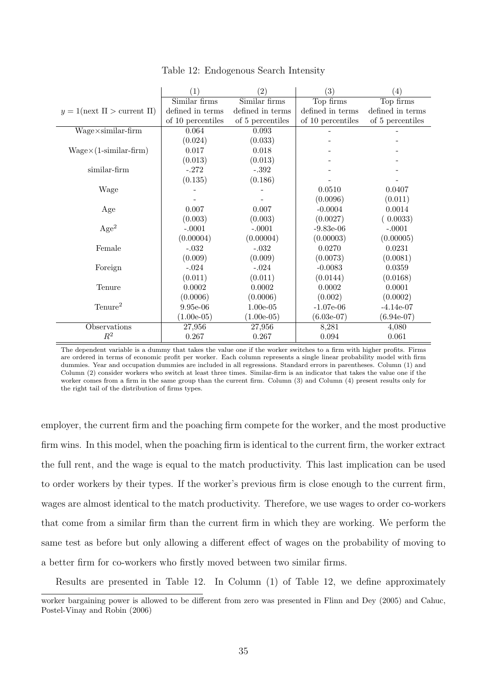|                                       | (1)               | $\left( 2\right)$ | (3)               | $\left( 4\right)$ |
|---------------------------------------|-------------------|-------------------|-------------------|-------------------|
|                                       | Similar firms     | Similar firms     | Top firms         | Top firms         |
| $y = 1$ (next $\Pi >$ current $\Pi$ ) | defined in terms  | defined in terms  | defined in terms  | defined in terms  |
|                                       | of 10 percentiles | of 5 percentiles  | of 10 percentiles | of 5 percentiles  |
| $Wage \times similar-firm$            | 0.064             | 0.093             |                   |                   |
|                                       | (0.024)           | (0.033)           |                   |                   |
| $Wage \times (1-similar-firm)$        | 0.017             | 0.018             |                   |                   |
|                                       | (0.013)           | (0.013)           |                   |                   |
| similar-firm                          | $-.272$           | $-.392$           |                   |                   |
|                                       | (0.135)           | (0.186)           |                   |                   |
| Wage                                  |                   |                   | 0.0510            | 0.0407            |
|                                       |                   |                   | (0.0096)          | (0.011)           |
| Age                                   | 0.007             | 0.007             | $-0.0004$         | 0.0014            |
|                                       | (0.003)           | (0.003)           | (0.0027)          | 0.0033)           |
| Age <sup>2</sup>                      | $-.0001$          | $-.0001$          | $-9.83e-06$       | $-.0001$          |
|                                       | (0.00004)         | (0.00004)         | (0.00003)         | (0.00005)         |
| Female                                | $-.032$           | $-.032$           | 0.0270            | 0.0231            |
|                                       | (0.009)           | (0.009)           | (0.0073)          | (0.0081)          |
| Foreign                               | $-.024$           | $-.024$           | $-0.0083$         | 0.0359            |
|                                       | (0.011)           | (0.011)           | (0.0144)          | (0.0168)          |
| Tenure                                | 0.0002            | 0.0002            | 0.0002            | 0.0001            |
|                                       | (0.0006)          | (0.0006)          | (0.002)           | (0.0002)          |
| $T$ enure <sup>2</sup>                | $9.95e-06$        | $1.00e-05$        | $-1.07e-06$       | $-4.14e-07$       |
|                                       | $(1.00e-05)$      | $(1.00e-05)$      | $(6.03e-07)$      | $(6.94e-07)$      |
| Observations                          | 27,956            | 27,956            | 8,281             | 4,080             |
| $R^2$                                 | 0.267             | 0.267             | 0.094             | 0.061             |

Table 12: Endogenous Search Intensity

The dependent variable is a dummy that takes the value one if the worker switches to a firm with higher profits. Firms are ordered in terms of economic profit per worker. Each column represents a single linear probability model with firm dummies. Year and occupation dummies are included in all regressions. Standard errors in parentheses. Column (1) and Column (2) consider workers who switch at least three times. Similar-firm is an indicator that takes the value one if the worker comes from a firm in the same group than the current firm. Column (3) and Column (4) present results only for the right tail of the distribution of firms types.

employer, the current firm and the poaching firm compete for the worker, and the most productive firm wins. In this model, when the poaching firm is identical to the current firm, the worker extract the full rent, and the wage is equal to the match productivity. This last implication can be used to order workers by their types. If the worker's previous firm is close enough to the current firm, wages are almost identical to the match productivity. Therefore, we use wages to order co-workers that come from a similar firm than the current firm in which they are working. We perform the same test as before but only allowing a different effect of wages on the probability of moving to a better firm for co-workers who firstly moved between two similar firms.

Results are presented in Table 12. In Column (1) of Table 12, we define approximately

worker bargaining power is allowed to be different from zero was presented in Flinn and Dey (2005) and Cahuc, Postel-Vinay and Robin (2006)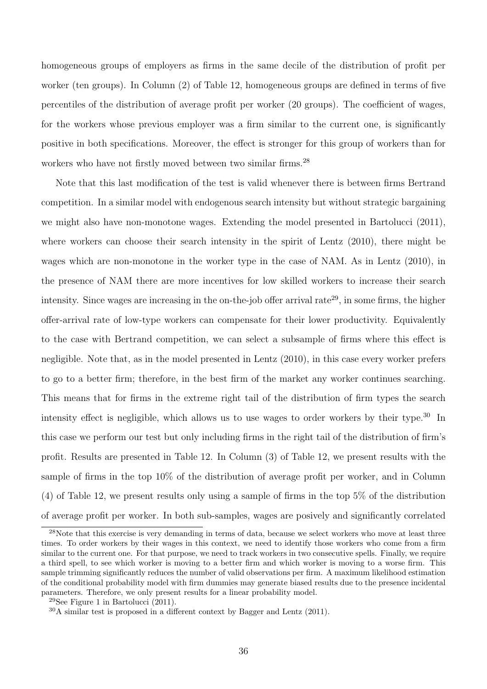homogeneous groups of employers as firms in the same decile of the distribution of profit per worker (ten groups). In Column (2) of Table 12, homogeneous groups are defined in terms of five percentiles of the distribution of average profit per worker (20 groups). The coefficient of wages, for the workers whose previous employer was a firm similar to the current one, is significantly positive in both specifications. Moreover, the effect is stronger for this group of workers than for workers who have not firstly moved between two similar firms.<sup>28</sup>

Note that this last modification of the test is valid whenever there is between firms Bertrand competition. In a similar model with endogenous search intensity but without strategic bargaining we might also have non-monotone wages. Extending the model presented in Bartolucci (2011), where workers can choose their search intensity in the spirit of Lentz (2010), there might be wages which are non-monotone in the worker type in the case of NAM. As in Lentz (2010), in the presence of NAM there are more incentives for low skilled workers to increase their search intensity. Since wages are increasing in the on-the-job offer arrival rate<sup>29</sup>, in some firms, the higher offer-arrival rate of low-type workers can compensate for their lower productivity. Equivalently to the case with Bertrand competition, we can select a subsample of firms where this effect is negligible. Note that, as in the model presented in Lentz (2010), in this case every worker prefers to go to a better firm; therefore, in the best firm of the market any worker continues searching. This means that for firms in the extreme right tail of the distribution of firm types the search intensity effect is negligible, which allows us to use wages to order workers by their type.<sup>30</sup> In this case we perform our test but only including firms in the right tail of the distribution of firm's profit. Results are presented in Table 12. In Column (3) of Table 12, we present results with the sample of firms in the top 10% of the distribution of average profit per worker, and in Column (4) of Table 12, we present results only using a sample of firms in the top 5% of the distribution of average profit per worker. In both sub-samples, wages are posively and significantly correlated

<sup>&</sup>lt;sup>28</sup>Note that this exercise is very demanding in terms of data, because we select workers who move at least three times. To order workers by their wages in this context, we need to identify those workers who come from a firm similar to the current one. For that purpose, we need to track workers in two consecutive spells. Finally, we require a third spell, to see which worker is moving to a better firm and which worker is moving to a worse firm. This sample trimming significantly reduces the number of valid observations per firm. A maximum likelihood estimation of the conditional probability model with firm dummies may generate biased results due to the presence incidental parameters. Therefore, we only present results for a linear probability model.

<sup>&</sup>lt;sup>29</sup>See Figure 1 in Bartolucci  $(2011)$ .

<sup>30</sup>A similar test is proposed in a different context by Bagger and Lentz (2011).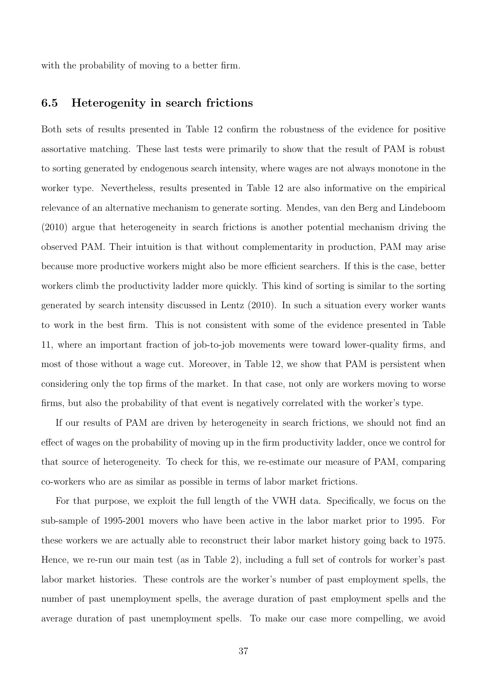with the probability of moving to a better firm.

### 6.5 Heterogenity in search frictions

Both sets of results presented in Table 12 confirm the robustness of the evidence for positive assortative matching. These last tests were primarily to show that the result of PAM is robust to sorting generated by endogenous search intensity, where wages are not always monotone in the worker type. Nevertheless, results presented in Table 12 are also informative on the empirical relevance of an alternative mechanism to generate sorting. Mendes, van den Berg and Lindeboom (2010) argue that heterogeneity in search frictions is another potential mechanism driving the observed PAM. Their intuition is that without complementarity in production, PAM may arise because more productive workers might also be more efficient searchers. If this is the case, better workers climb the productivity ladder more quickly. This kind of sorting is similar to the sorting generated by search intensity discussed in Lentz (2010). In such a situation every worker wants to work in the best firm. This is not consistent with some of the evidence presented in Table 11, where an important fraction of job-to-job movements were toward lower-quality firms, and most of those without a wage cut. Moreover, in Table 12, we show that PAM is persistent when considering only the top firms of the market. In that case, not only are workers moving to worse firms, but also the probability of that event is negatively correlated with the worker's type.

If our results of PAM are driven by heterogeneity in search frictions, we should not find an effect of wages on the probability of moving up in the firm productivity ladder, once we control for that source of heterogeneity. To check for this, we re-estimate our measure of PAM, comparing co-workers who are as similar as possible in terms of labor market frictions.

For that purpose, we exploit the full length of the VWH data. Specifically, we focus on the sub-sample of 1995-2001 movers who have been active in the labor market prior to 1995. For these workers we are actually able to reconstruct their labor market history going back to 1975. Hence, we re-run our main test (as in Table 2), including a full set of controls for worker's past labor market histories. These controls are the worker's number of past employment spells, the number of past unemployment spells, the average duration of past employment spells and the average duration of past unemployment spells. To make our case more compelling, we avoid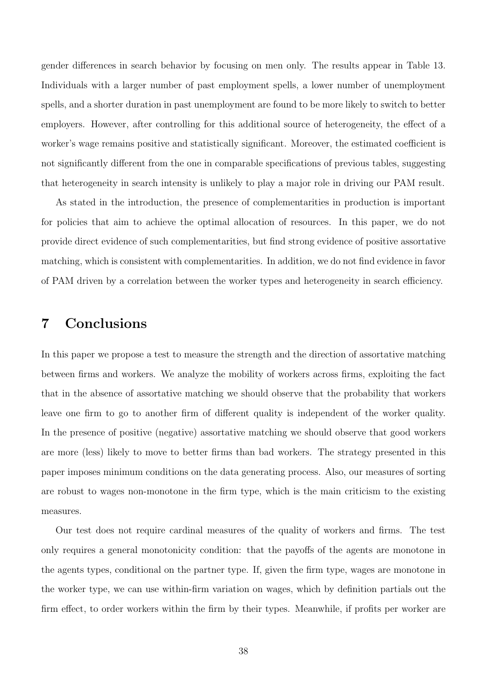gender differences in search behavior by focusing on men only. The results appear in Table 13. Individuals with a larger number of past employment spells, a lower number of unemployment spells, and a shorter duration in past unemployment are found to be more likely to switch to better employers. However, after controlling for this additional source of heterogeneity, the effect of a worker's wage remains positive and statistically significant. Moreover, the estimated coefficient is not significantly different from the one in comparable specifications of previous tables, suggesting that heterogeneity in search intensity is unlikely to play a major role in driving our PAM result.

As stated in the introduction, the presence of complementarities in production is important for policies that aim to achieve the optimal allocation of resources. In this paper, we do not provide direct evidence of such complementarities, but find strong evidence of positive assortative matching, which is consistent with complementarities. In addition, we do not find evidence in favor of PAM driven by a correlation between the worker types and heterogeneity in search efficiency.

# 7 Conclusions

In this paper we propose a test to measure the strength and the direction of assortative matching between firms and workers. We analyze the mobility of workers across firms, exploiting the fact that in the absence of assortative matching we should observe that the probability that workers leave one firm to go to another firm of different quality is independent of the worker quality. In the presence of positive (negative) assortative matching we should observe that good workers are more (less) likely to move to better firms than bad workers. The strategy presented in this paper imposes minimum conditions on the data generating process. Also, our measures of sorting are robust to wages non-monotone in the firm type, which is the main criticism to the existing measures.

Our test does not require cardinal measures of the quality of workers and firms. The test only requires a general monotonicity condition: that the payoffs of the agents are monotone in the agents types, conditional on the partner type. If, given the firm type, wages are monotone in the worker type, we can use within-firm variation on wages, which by definition partials out the firm effect, to order workers within the firm by their types. Meanwhile, if profits per worker are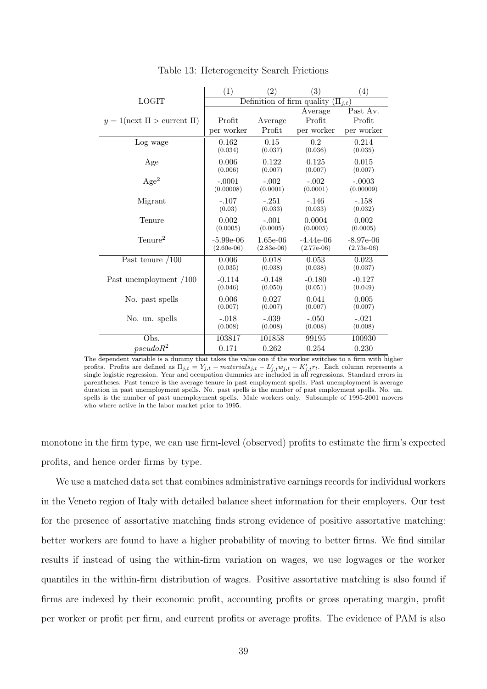|                                       | (1)              | $\left( 2\right)$          | $\left( 3\right)$ | $\left( 4\right)$ |
|---------------------------------------|------------------|----------------------------|-------------------|-------------------|
| <b>LOGIT</b>                          |                  | Definition of firm quality |                   | $(\Pi_{i,t})$     |
|                                       |                  |                            | Average           | Past Av.          |
| $y = 1$ (next $\Pi >$ current $\Pi$ ) | Profit           | Average                    | Profit            | Profit            |
|                                       | per worker       | Profit                     | per worker        | per worker        |
| Log wage                              | 0.162<br>(0.034) | 0.15                       | 0.2<br>(0.036)    | 0.214             |
|                                       |                  | (0.037)                    |                   | (0.035)           |
| Age                                   | 0.006            | 0.122                      | 0.125             | 0.015             |
|                                       | (0.006)          | (0.007)                    | (0.007)           | (0.007)           |
| Age <sup>2</sup>                      | $-.0001$         | $-.002$                    | $-.002$           | $-.0003$          |
|                                       | (0.00008)        | (0.0001)                   | (0.0001)          | (0.00009)         |
| Migrant                               | $-.107$          | $-.251$                    | $-.146$           | $-.158$           |
|                                       | (0.03)           | (0.033)                    | (0.033)           | (0.032)           |
| Tenure                                | 0.002            | $-.001$                    | 0.0004            | 0.002             |
|                                       | (0.0005)         | (0.0005)                   | (0.0005)          | (0.0005)          |
| $T$ enure <sup>2</sup>                | $-5.99e-06$      | $1.65e-06$                 | $-4.44e-06$       | $-8.97e-06$       |
|                                       | $(2.60e-06)$     | $(2.83e-06)$               | $(2.77e-06)$      | $(2.73e-06)$      |
| Past tenure $/100$                    | 0.006            | 0.018                      | 0.053             | 0.023             |
|                                       | (0.035)          | (0.038)                    | (0.038)           | (0.037)           |
| Past unemployment /100                | $-0.114$         | $-0.148$                   | $-0.180$          | $-0.127$          |
|                                       | (0.046)          | (0.050)                    | (0.051)           | (0.049)           |
| No. past spells                       | 0.006            | 0.027                      | 0.041             | 0.005             |
|                                       | (0.007)          | (0.007)                    | (0.007)           | (0.007)           |
| No. un. spells                        | $-.018$          | $-.039$                    | $-.050$           | $-.021$           |
|                                       | (0.008)          | (0.008)                    | (0.008)           | (0.008)           |
| Obs.                                  | 103817           | 101858                     | 99195             | 100930            |
| $pseudoR^2$                           | 0.171            | 0.262                      | 0.254             | 0.230             |

Table 13: Heterogeneity Search Frictions

The dependent variable is a dummy that takes the value one if the worker switches to a firm with higher profits. Profits are defined as  $\Pi_{j,t} = Y_{j,t} - materials_{j,t} - L'_{j,t}w_{j,t} - K'_{j,t}r_t$ . Each column represents a single logistic regression. Year and occupation dummies are included in all regressions. Standard errors in parentheses. Past tenure is the average tenure in past employment spells. Past unemployment is average duration in past unemployment spells. No. past spells is the number of past employment spells. No. un. spells is the number of past unemployment spells. Male workers only. Subsample of 1995-2001 movers who where active in the labor market prior to 1995.

monotone in the firm type, we can use firm-level (observed) profits to estimate the firm's expected profits, and hence order firms by type.

We use a matched data set that combines administrative earnings records for individual workers in the Veneto region of Italy with detailed balance sheet information for their employers. Our test for the presence of assortative matching finds strong evidence of positive assortative matching: better workers are found to have a higher probability of moving to better firms. We find similar results if instead of using the within-firm variation on wages, we use logwages or the worker quantiles in the within-firm distribution of wages. Positive assortative matching is also found if firms are indexed by their economic profit, accounting profits or gross operating margin, profit per worker or profit per firm, and current profits or average profits. The evidence of PAM is also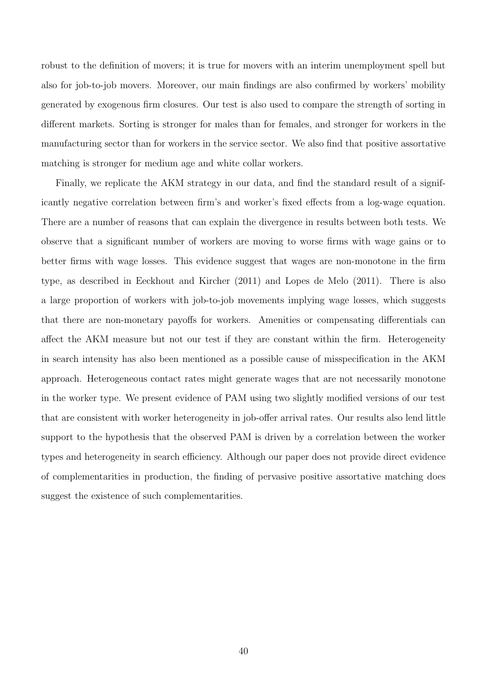robust to the definition of movers; it is true for movers with an interim unemployment spell but also for job-to-job movers. Moreover, our main findings are also confirmed by workers' mobility generated by exogenous firm closures. Our test is also used to compare the strength of sorting in different markets. Sorting is stronger for males than for females, and stronger for workers in the manufacturing sector than for workers in the service sector. We also find that positive assortative matching is stronger for medium age and white collar workers.

Finally, we replicate the AKM strategy in our data, and find the standard result of a significantly negative correlation between firm's and worker's fixed effects from a log-wage equation. There are a number of reasons that can explain the divergence in results between both tests. We observe that a significant number of workers are moving to worse firms with wage gains or to better firms with wage losses. This evidence suggest that wages are non-monotone in the firm type, as described in Eeckhout and Kircher (2011) and Lopes de Melo (2011). There is also a large proportion of workers with job-to-job movements implying wage losses, which suggests that there are non-monetary payoffs for workers. Amenities or compensating differentials can affect the AKM measure but not our test if they are constant within the firm. Heterogeneity in search intensity has also been mentioned as a possible cause of misspecification in the AKM approach. Heterogeneous contact rates might generate wages that are not necessarily monotone in the worker type. We present evidence of PAM using two slightly modified versions of our test that are consistent with worker heterogeneity in job-offer arrival rates. Our results also lend little support to the hypothesis that the observed PAM is driven by a correlation between the worker types and heterogeneity in search efficiency. Although our paper does not provide direct evidence of complementarities in production, the finding of pervasive positive assortative matching does suggest the existence of such complementarities.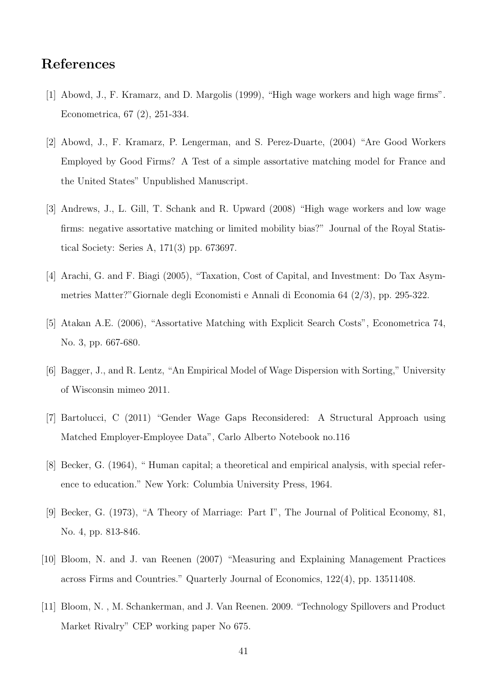# References

- [1] Abowd, J., F. Kramarz, and D. Margolis (1999), "High wage workers and high wage firms". Econometrica, 67 (2), 251-334.
- [2] Abowd, J., F. Kramarz, P. Lengerman, and S. Perez-Duarte, (2004) "Are Good Workers Employed by Good Firms? A Test of a simple assortative matching model for France and the United States" Unpublished Manuscript.
- [3] Andrews, J., L. Gill, T. Schank and R. Upward (2008) "High wage workers and low wage firms: negative assortative matching or limited mobility bias?" Journal of the Royal Statistical Society: Series A, 171(3) pp. 673697.
- [4] Arachi, G. and F. Biagi (2005), "Taxation, Cost of Capital, and Investment: Do Tax Asymmetries Matter?"Giornale degli Economisti e Annali di Economia 64 (2/3), pp. 295-322.
- [5] Atakan A.E. (2006), "Assortative Matching with Explicit Search Costs", Econometrica 74, No. 3, pp. 667-680.
- [6] Bagger, J., and R. Lentz, "An Empirical Model of Wage Dispersion with Sorting," University of Wisconsin mimeo 2011.
- [7] Bartolucci, C (2011) "Gender Wage Gaps Reconsidered: A Structural Approach using Matched Employer-Employee Data", Carlo Alberto Notebook no.116
- [8] Becker, G. (1964), " Human capital; a theoretical and empirical analysis, with special reference to education." New York: Columbia University Press, 1964.
- [9] Becker, G. (1973), "A Theory of Marriage: Part I", The Journal of Political Economy, 81, No. 4, pp. 813-846.
- [10] Bloom, N. and J. van Reenen (2007) "Measuring and Explaining Management Practices across Firms and Countries." Quarterly Journal of Economics, 122(4), pp. 13511408.
- [11] Bloom, N. , M. Schankerman, and J. Van Reenen. 2009. "Technology Spillovers and Product Market Rivalry" CEP working paper No 675.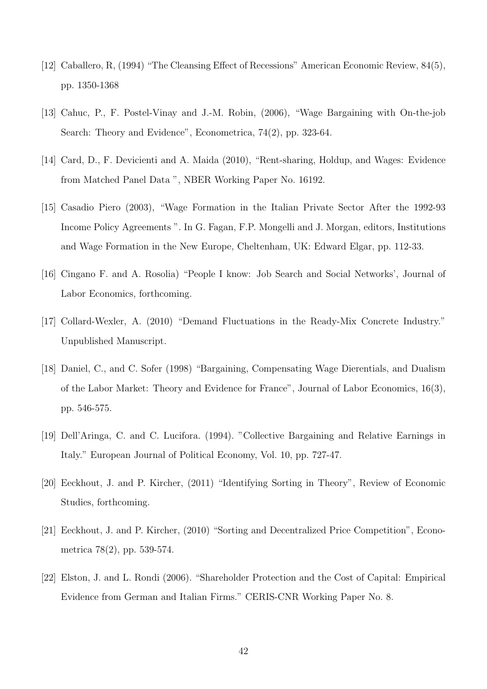- [12] Caballero, R, (1994) "The Cleansing Effect of Recessions" American Economic Review, 84(5), pp. 1350-1368
- [13] Cahuc, P., F. Postel-Vinay and J.-M. Robin, (2006), "Wage Bargaining with On-the-job Search: Theory and Evidence", Econometrica, 74(2), pp. 323-64.
- [14] Card, D., F. Devicienti and A. Maida (2010), "Rent-sharing, Holdup, and Wages: Evidence from Matched Panel Data ", NBER Working Paper No. 16192.
- [15] Casadio Piero (2003), "Wage Formation in the Italian Private Sector After the 1992-93 Income Policy Agreements ". In G. Fagan, F.P. Mongelli and J. Morgan, editors, Institutions and Wage Formation in the New Europe, Cheltenham, UK: Edward Elgar, pp. 112-33.
- [16] Cingano F. and A. Rosolia) "People I know: Job Search and Social Networks', Journal of Labor Economics, forthcoming.
- [17] Collard-Wexler, A. (2010) "Demand Fluctuations in the Ready-Mix Concrete Industry." Unpublished Manuscript.
- [18] Daniel, C., and C. Sofer (1998) "Bargaining, Compensating Wage Dierentials, and Dualism of the Labor Market: Theory and Evidence for France", Journal of Labor Economics, 16(3), pp. 546-575.
- [19] Dell'Aringa, C. and C. Lucifora. (1994). "Collective Bargaining and Relative Earnings in Italy." European Journal of Political Economy, Vol. 10, pp. 727-47.
- [20] Eeckhout, J. and P. Kircher, (2011) "Identifying Sorting in Theory", Review of Economic Studies, forthcoming.
- [21] Eeckhout, J. and P. Kircher, (2010) "Sorting and Decentralized Price Competition", Econometrica 78(2), pp. 539-574.
- [22] Elston, J. and L. Rondi (2006). "Shareholder Protection and the Cost of Capital: Empirical Evidence from German and Italian Firms." CERIS-CNR Working Paper No. 8.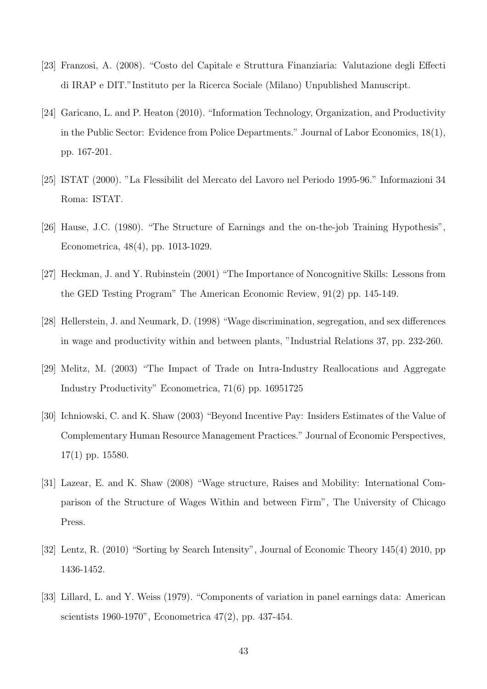- [23] Franzosi, A. (2008). "Costo del Capitale e Struttura Finanziaria: Valutazione degli Effecti di IRAP e DIT."Instituto per la Ricerca Sociale (Milano) Unpublished Manuscript.
- [24] Garicano, L. and P. Heaton (2010). "Information Technology, Organization, and Productivity in the Public Sector: Evidence from Police Departments." Journal of Labor Economics, 18(1), pp. 167-201.
- [25] ISTAT (2000). "La Flessibilit del Mercato del Lavoro nel Periodo 1995-96." Informazioni 34 Roma: ISTAT.
- [26] Hause, J.C. (1980). "The Structure of Earnings and the on-the-job Training Hypothesis", Econometrica, 48(4), pp. 1013-1029.
- [27] Heckman, J. and Y. Rubinstein (2001) "The Importance of Noncognitive Skills: Lessons from the GED Testing Program" The American Economic Review, 91(2) pp. 145-149.
- [28] Hellerstein, J. and Neumark, D. (1998) "Wage discrimination, segregation, and sex differences in wage and productivity within and between plants, "Industrial Relations 37, pp. 232-260.
- [29] Melitz, M. (2003) "The Impact of Trade on Intra-Industry Reallocations and Aggregate Industry Productivity" Econometrica, 71(6) pp. 16951725
- [30] Ichniowski, C. and K. Shaw (2003) "Beyond Incentive Pay: Insiders Estimates of the Value of Complementary Human Resource Management Practices." Journal of Economic Perspectives, 17(1) pp. 15580.
- [31] Lazear, E. and K. Shaw (2008) "Wage structure, Raises and Mobility: International Comparison of the Structure of Wages Within and between Firm", The University of Chicago Press.
- [32] Lentz, R. (2010) "Sorting by Search Intensity", Journal of Economic Theory 145(4) 2010, pp 1436-1452.
- [33] Lillard, L. and Y. Weiss (1979). "Components of variation in panel earnings data: American scientists 1960-1970", Econometrica 47(2), pp. 437-454.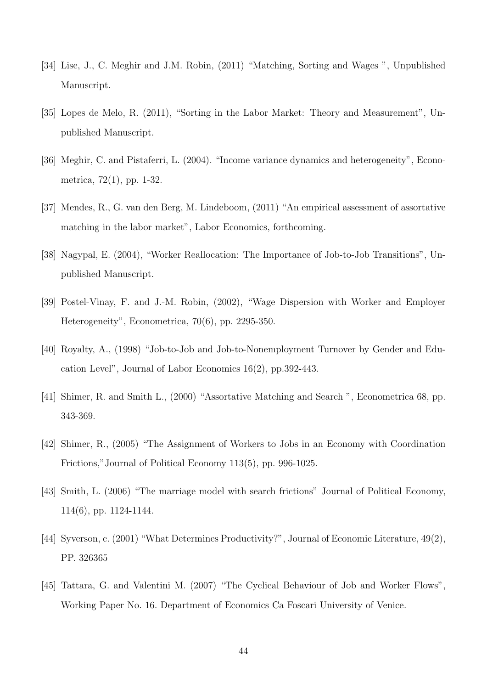- [34] Lise, J., C. Meghir and J.M. Robin, (2011) "Matching, Sorting and Wages ", Unpublished Manuscript.
- [35] Lopes de Melo, R. (2011), "Sorting in the Labor Market: Theory and Measurement", Unpublished Manuscript.
- [36] Meghir, C. and Pistaferri, L. (2004). "Income variance dynamics and heterogeneity", Econometrica, 72(1), pp. 1-32.
- [37] Mendes, R., G. van den Berg, M. Lindeboom, (2011) "An empirical assessment of assortative matching in the labor market", Labor Economics, forthcoming.
- [38] Nagypal, E. (2004), "Worker Reallocation: The Importance of Job-to-Job Transitions", Unpublished Manuscript.
- [39] Postel-Vinay, F. and J.-M. Robin, (2002), "Wage Dispersion with Worker and Employer Heterogeneity", Econometrica, 70(6), pp. 2295-350.
- [40] Royalty, A., (1998) "Job-to-Job and Job-to-Nonemployment Turnover by Gender and Education Level", Journal of Labor Economics 16(2), pp.392-443.
- [41] Shimer, R. and Smith L., (2000) "Assortative Matching and Search ", Econometrica 68, pp. 343-369.
- [42] Shimer, R., (2005) "The Assignment of Workers to Jobs in an Economy with Coordination Frictions,"Journal of Political Economy 113(5), pp. 996-1025.
- [43] Smith, L. (2006) "The marriage model with search frictions" Journal of Political Economy, 114(6), pp. 1124-1144.
- [44] Syverson, c. (2001) "What Determines Productivity?", Journal of Economic Literature, 49(2), PP. 326365
- [45] Tattara, G. and Valentini M. (2007) "The Cyclical Behaviour of Job and Worker Flows", Working Paper No. 16. Department of Economics Ca Foscari University of Venice.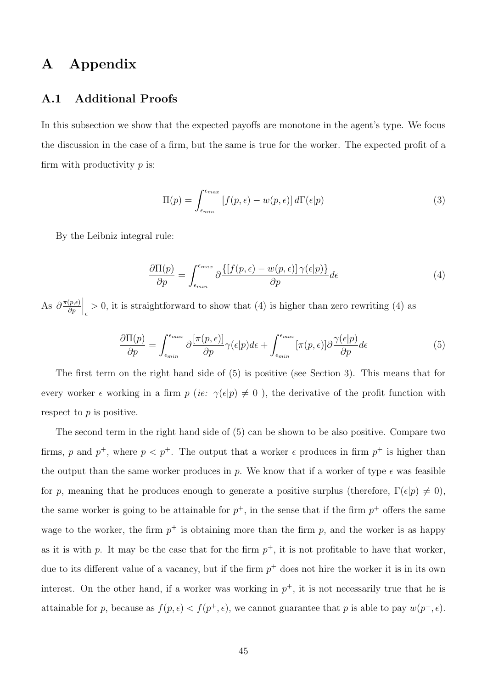# A Appendix

### A.1 Additional Proofs

In this subsection we show that the expected payoffs are monotone in the agent's type. We focus the discussion in the case of a firm, but the same is true for the worker. The expected profit of a firm with productivity  $p$  is:

$$
\Pi(p) = \int_{\epsilon_{min}}^{\epsilon_{max}} \left[ f(p, \epsilon) - w(p, \epsilon) \right] d\Gamma(\epsilon|p)
$$
\n(3)

By the Leibniz integral rule:

$$
\frac{\partial \Pi(p)}{\partial p} = \int_{\epsilon_{min}}^{\epsilon_{max}} \partial \frac{\{[f(p,\epsilon) - w(p,\epsilon)] \, \gamma(\epsilon|p)\}}{\partial p} d\epsilon \tag{4}
$$

As  $\partial \frac{\pi(p,\epsilon)}{\partial n}$ ∂p  $\Big|_{\epsilon} > 0$ , it is straightforward to show that (4) is higher than zero rewriting (4) as

$$
\frac{\partial \Pi(p)}{\partial p} = \int_{\epsilon_{min}}^{\epsilon_{max}} \partial \frac{[\pi(p,\epsilon)]}{\partial p} \gamma(\epsilon|p) d\epsilon + \int_{\epsilon_{min}}^{\epsilon_{max}} [\pi(p,\epsilon)] \partial \frac{\gamma(\epsilon|p)}{\partial p} d\epsilon \tag{5}
$$

The first term on the right hand side of (5) is positive (see Section 3). This means that for every worker  $\epsilon$  working in a firm  $p$  (ie:  $\gamma(\epsilon|p) \neq 0$ ), the derivative of the profit function with respect to p is positive.

The second term in the right hand side of (5) can be shown to be also positive. Compare two firms, p and  $p^+$ , where  $p < p^+$ . The output that a worker  $\epsilon$  produces in firm  $p^+$  is higher than the output than the same worker produces in p. We know that if a worker of type  $\epsilon$  was feasible for p, meaning that he produces enough to generate a positive surplus (therefore,  $\Gamma(\epsilon|p) \neq 0$ ), the same worker is going to be attainable for  $p^+$ , in the sense that if the firm  $p^+$  offers the same wage to the worker, the firm  $p^+$  is obtaining more than the firm p, and the worker is as happy as it is with p. It may be the case that for the firm  $p^+$ , it is not profitable to have that worker, due to its different value of a vacancy, but if the firm  $p^+$  does not hire the worker it is in its own interest. On the other hand, if a worker was working in  $p^+$ , it is not necessarily true that he is attainable for p, because as  $f(p, \epsilon) < f(p^+, \epsilon)$ , we cannot guarantee that p is able to pay  $w(p^+, \epsilon)$ .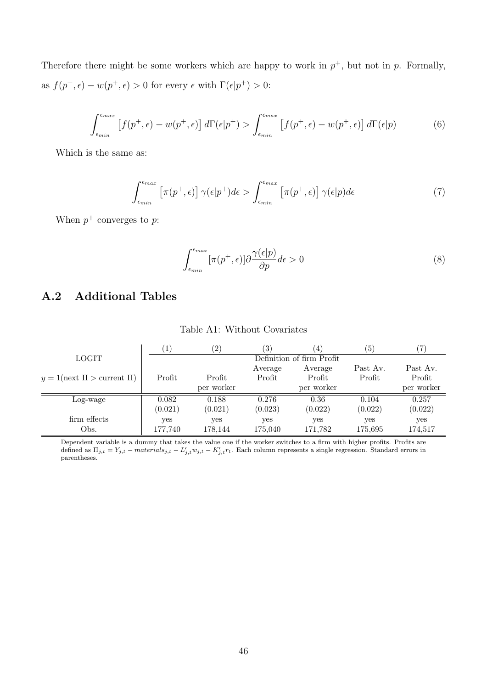Therefore there might be some workers which are happy to work in  $p^+$ , but not in p. Formally, as  $f(p^+,\epsilon) - w(p^+,\epsilon) > 0$  for every  $\epsilon$  with  $\Gamma(\epsilon|p^+) > 0$ :

$$
\int_{\epsilon_{min}}^{\epsilon_{max}} \left[ f(p^+, \epsilon) - w(p^+, \epsilon) \right] d\Gamma(\epsilon|p^+) > \int_{\epsilon_{min}}^{\epsilon_{max}} \left[ f(p^+, \epsilon) - w(p^+, \epsilon) \right] d\Gamma(\epsilon|p) \tag{6}
$$

Which is the same as:

$$
\int_{\epsilon_{min}}^{\epsilon_{max}} \left[ \pi(p^+, \epsilon) \right] \gamma(\epsilon|p^+) d\epsilon > \int_{\epsilon_{min}}^{\epsilon_{max}} \left[ \pi(p^+, \epsilon) \right] \gamma(\epsilon|p) d\epsilon \tag{7}
$$

When  $p^+$  converges to p:

$$
\int_{\epsilon_{min}}^{\epsilon_{max}} [\pi(p^+, \epsilon)] \partial \frac{\gamma(\epsilon|p)}{\partial p} d\epsilon > 0
$$
\n(8)

# A.2 Additional Tables

|                                       |         | (2)        | $\left(3\right)$ | 4                         | $\left(5\right)$ | 7          |
|---------------------------------------|---------|------------|------------------|---------------------------|------------------|------------|
| <b>LOGIT</b>                          |         |            |                  | Definition of firm Profit |                  |            |
|                                       |         |            | Average          | Average                   | Past Av.         | Past Av.   |
| $y = 1$ (next $\Pi >$ current $\Pi$ ) | Profit  | Profit     | Profit           | Profit                    | Profit           | Profit     |
|                                       |         | per worker |                  | per worker                |                  | per worker |
| Log-wage                              | 0.082   | 0.188      | 0.276            | 0.36                      | 0.104            | 0.257      |
|                                       | (0.021) | (0.021)    | (0.023)          | (0.022)                   | (0.022)          | (0.022)    |
| firm effects                          | yes     | yes        | yes              | yes                       | yes              | yes        |
| Obs.                                  | 177,740 | 178,144    | 175,040          | 171,782                   | 175,695          | 174,517    |

#### Table A1: Without Covariates

Dependent variable is a dummy that takes the value one if the worker switches to a firm with higher profits. Profits are defined as  $\Pi_{j,t} = Y_{j,t} - materials_{j,t} - L'_{j,t}w_{j,t} - K'_{j,t}r_t$ . Each column represents a single regression. Standard errors in parentheses.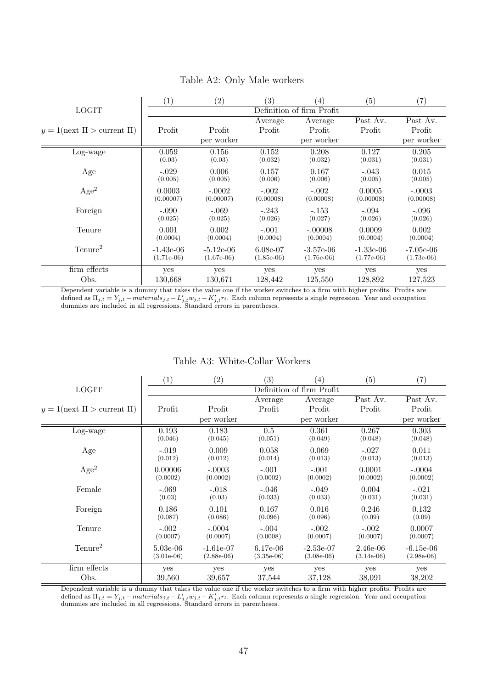|                                       | $\left(1\right)$ | $\left( 2\right)$ | (3)          | (4)                       | (5)          | $\left( 7\right)$ |
|---------------------------------------|------------------|-------------------|--------------|---------------------------|--------------|-------------------|
| <b>LOGIT</b>                          |                  |                   |              | Definition of firm Profit |              |                   |
|                                       |                  |                   | Average      | Average                   | Past Av.     | Past Av.          |
| $y = 1$ (next $\Pi >$ current $\Pi$ ) | Profit           | Profit            | Profit       | Profit                    | Profit       | Profit            |
|                                       |                  | per worker        |              | per worker                |              | per worker        |
| Log-wage                              | 0.059            | 0.156             | 0.152        | 0.208                     | 0.127        | 0.205             |
|                                       | (0.03)           | (0.03)            | (0.032)      | (0.032)                   | (0.031)      | (0.031)           |
| Age                                   | $-.029$          | 0.006             | 0.157        | 0.167                     | $-.043$      | 0.015             |
|                                       | (0.005)          | (0.005)           | (0.006)      | (0.006)                   | (0.005)      | (0.005)           |
| Age <sup>2</sup>                      | 0.0003           | $-.0002$          | $-.002$      | $-.002$                   | 0.0005       | $-.0003$          |
|                                       | (0.00007)        | (0.00007)         | (0.00008)    | (0.00008)                 | (0.00008)    | (0.00008)         |
| Foreign                               | $-.090$          | $-.069$           | $-.243$      | $-.153$                   | $-.094$      | $-.096$           |
|                                       | (0.025)          | (0.025)           | (0.026)      | (0.027)                   | (0.026)      | (0.026)           |
| Tenure                                | 0.001            | 0.002             | $-.001$      | $-.00008$                 | 0.0009       | 0.002             |
|                                       | (0.0004)         | (0.0004)          | (0.0004)     | (0.0004)                  | (0.0004)     | (0.0004)          |
| Tenure <sup>2</sup>                   | $-1.43e-06$      | $-5.12e-06$       | $6.08e-07$   | $-3.57e-06$               | $-1.33e-06$  | $-7.05e-06$       |
|                                       | $(1.71e-06)$     | $(1.67e-06)$      | $(1.85e-06)$ | $(1.76e-06)$              | $(1.77e-06)$ | $(1.73e-06)$      |
| firm effects                          | yes              | yes               | yes          | yes                       | yes          | yes               |
| Obs.                                  | 130,668          | 130,671           | 128,442      | 125,550                   | 128,892      | 127,523           |

#### Table A2: Only Male workers

Dependent variable is a dummy that takes the value one if the worker switches to a firm with higher profits. Profits are defined as  $\Pi_{j,t} = Y_{j,t} - materials_{j,t} - L'_{j,t}w_{j,t} - K'_{j,t}r_t$ . Each column represents a single regression. Year and occupation dummies are included in all regressions. Standard errors in parentheses.

#### Table A3: White-Collar Workers

|                                       | $\left( 1\right)$ | (2)          | (3)          | $\left( 4\right)$         | $\left( 5\right)$ | $\left( 7\right)$ |
|---------------------------------------|-------------------|--------------|--------------|---------------------------|-------------------|-------------------|
| <b>LOGIT</b>                          |                   |              |              | Definition of firm Profit |                   |                   |
|                                       |                   |              | Average      | Average                   | Past Av.          | Past Av.          |
| $y = 1$ (next $\Pi >$ current $\Pi$ ) | Profit            | Profit       | Profit       | Profit                    | Profit            | Profit            |
|                                       |                   | per worker   |              | per worker                |                   | per worker        |
| Log-wage                              | 0.193             | 0.183        | 0.5          | 0.361                     | 0.267             | 0.303             |
|                                       | (0.046)           | (0.045)      | (0.051)      | (0.049)                   | (0.048)           | (0.048)           |
| Age                                   | $-.019$           | 0.009        | 0.058        | 0.069                     | $-.027$           | 0.011             |
|                                       | (0.012)           | (0.012)      | (0.014)      | (0.013)                   | (0.013)           | (0.013)           |
| Age <sup>2</sup>                      | 0.00006           | $-.0003$     | $-.001$      | $-.001$                   | 0.0001            | $-.0004$          |
|                                       | (0.0002)          | (0.0002)     | (0.0002)     | (0.0002)                  | (0.0002)          | (0.0002)          |
| Female                                | $-.069$           | $-.018$      | $-.046$      | $-.049$                   | 0.004             | $-.021$           |
|                                       | (0.03)            | (0.03)       | (0.033)      | (0.033)                   | (0.031)           | (0.031)           |
| Foreign                               | 0.186             | 0.101        | 0.167        | 0.016                     | 0.246             | 0.132             |
|                                       | (0.087)           | (0.086)      | (0.096)      | (0.096)                   | (0.09)            | (0.09)            |
| Tenure                                | $-.002$           | $-.0004$     | $-.004$      | $-.002$                   | $-.002$           | 0.0007            |
|                                       | (0.0007)          | (0.0007)     | (0.0008)     | (0.0007)                  | (0.0007)          | (0.0007)          |
| Tenure <sup>2</sup>                   | $5.03e-06$        | $-1.61e-07$  | $6.17e-06$   | $-2.53e-07$               | $2.46e-06$        | $-6.15e-06$       |
|                                       | $(3.01e-06)$      | $(2.88e-06)$ | $(3.35e-06)$ | $(3.08e-06)$              | $(3.14e-06)$      | $(2.98e-06)$      |
| firm effects                          | yes               | yes          | yes          | yes                       | yes               | yes               |
| Obs.                                  | 39,560            | 39,657       | 37,544       | 37,128                    | 38,091            | 38,202            |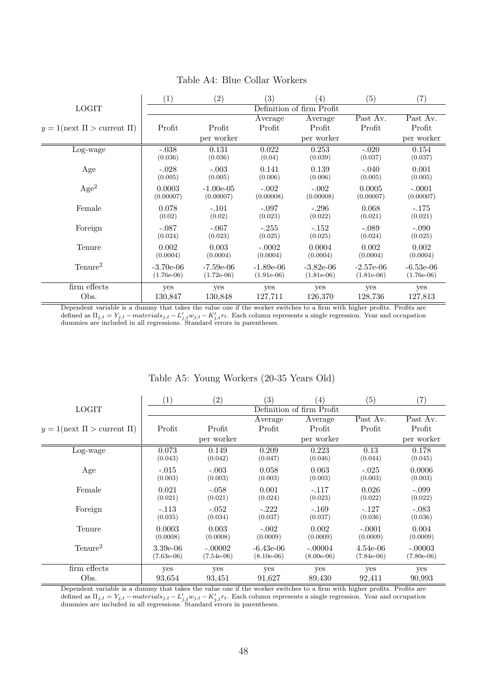|                                                      | $\left( 1\right)$ | (2)          | $\left( 3\right)$ | $\left( 4\right)$         | (5)          | $\left( 7\right)$ |
|------------------------------------------------------|-------------------|--------------|-------------------|---------------------------|--------------|-------------------|
| <b>LOGIT</b>                                         |                   |              |                   | Definition of firm Profit |              |                   |
|                                                      |                   |              | Average           | Average                   | Past Av.     | Past Av.          |
| $1(\text{next } \Pi > \text{current } \Pi)$<br>$y =$ | Profit            | Profit       | Profit            | Profit                    | Profit       | Profit            |
|                                                      |                   | per worker   |                   | per worker                |              | per worker        |
| Log-wage                                             | $-.038$           | 0.131        | 0.022             | 0.253                     | $-.020$      | 0.154             |
|                                                      | (0.036)           | (0.036)      | (0.04)            | (0.039)                   | (0.037)      | (0.037)           |
| Age                                                  | $-.028$           | $-.003$      | 0.141             | 0.139                     | $-.040$      | 0.001             |
|                                                      | (0.005)           | (0.005)      | (0.006)           | (0.006)                   | (0.005)      | (0.005)           |
| Age <sup>2</sup>                                     | 0.0003            | $-1.00e-0.5$ | $-.002$           | $-.002$                   | 0.0005       | $-.0001$          |
|                                                      | (0.00007)         | (0.00007)    | (0.00008)         | (0.00008)                 | (0.00007)    | (0.00007)         |
| Female                                               | 0.078             | $-.101$      | $-.097$           | $-.296$                   | 0.068        | $-.175$           |
|                                                      | (0.02)            | (0.02)       | (0.023)           | (0.022)                   | (0.021)      | (0.021)           |
| Foreign                                              | $-.087$           | $-.067$      | $-.255$           | $-.152$                   | $-.089$      | $-.090$           |
|                                                      | (0.024)           | (0.023)      | (0.025)           | (0.025)                   | (0.024)      | (0.025)           |
| Tenure                                               | 0.002             | 0.003        | $-.0002$          | 0.0004                    | 0.002        | 0.002             |
|                                                      | (0.0004)          | (0.0004)     | (0.0004)          | (0.0004)                  | (0.0004)     | (0.0004)          |
| Tenure <sup>2</sup>                                  | $-3.70e-06$       | $-7.59e-06$  | $-1.89e-06$       | $-3.82e-06$               | $-2.57e-06$  | $-6.53e-06$       |
|                                                      | $(1.76e-06)$      | $(1.72e-06)$ | $(1.91e-06)$      | $(1.81e-06)$              | $(1.81e-06)$ | $(1.76e-06)$      |
| firm effects                                         | yes               | yes          | yes               | yes                       | yes          | yes               |
| Obs.                                                 | 130,847           | 130,848      | 127,711           | 126,370                   | 128,736      | 127,813           |

### Table A4: Blue Collar Workers

Dependent variable is a dummy that takes the value one if the worker switches to a firm with higher profits. Profits are defined as  $\Pi_{j,t} = Y_{j,t} - materials_{j,t} - L'_{j,t} w_{j,t} - K'_{j,t} r_t$ . Each column represents a single regression. Year and occupation dummies are included in all regressions. Standard errors in parentheses.

|                                       | $\left( 1\right)$ | (2)              | (3)              | $\left(4\right)$          | (5)             | $\left( 7\right)$ |
|---------------------------------------|-------------------|------------------|------------------|---------------------------|-----------------|-------------------|
| <b>LOGIT</b>                          |                   |                  |                  | Definition of firm Profit |                 |                   |
|                                       |                   |                  | Average          | Average                   | Past Av.        | Past Av.          |
| $y = 1$ (next $\Pi >$ current $\Pi$ ) | Profit            | Profit           | Profit           | Profit                    | Profit          | Profit            |
|                                       |                   | per worker       |                  | per worker                |                 | per worker        |
| Log-wage                              | 0.073<br>(0.043)  | 0.149<br>(0.042) | 0.209<br>(0.047) | 0.223<br>(0.046)          | 0.13<br>(0.044) | 0.178<br>(0.045)  |
| Age                                   | $-.015$           | $-.003$          | 0.058            | 0.063                     | $-.025$         | 0.0006            |
|                                       | (0.003)           | (0.003)          | (0.003)          | (0.003)                   | (0.003)         | (0.003)           |
| Female                                | 0.021             | $-.058$          | 0.001            | $-.117$                   | 0.026           | $-.099$           |
|                                       | (0.021)           | (0.021)          | (0.024)          | (0.023)                   | (0.022)         | (0.022)           |
| Foreign                               | $-.113$           | $-.052$          | $-.222$          | $-.169$                   | $-.127$         | $-.083$           |
|                                       | (0.035)           | (0.034)          | (0.037)          | (0.037)                   | (0.036)         | (0.036)           |
| Tenure                                | 0.0003            | 0.003            | $-.002$          | 0.002                     | $-.0001$        | 0.004             |
|                                       | (0.0008)          | (0.0008)         | (0.0009)         | (0.0009)                  | (0.0009)        | (0.0009)          |
| $T$ enure <sup>2</sup>                | $3.39e-06$        | $-.00002$        | $-6.43e-06$      | $-.00004$                 | $4.54e-06$      | $-.00003$         |
|                                       | $(7.63e-06)$      | $(7.54e-06)$     | $(8.10e-06)$     | $(8.00e-06)$              | $(7.84e-06)$    | $(7.80e-06)$      |
| firm effects                          | yes               | yes              | yes              | yes                       | yes             | yes               |
| Obs.                                  | 93,654            | 93,451           | 91,627           | 89,430                    | 92,411          | 90,993            |

#### Table A5: Young Workers (20-35 Years Old)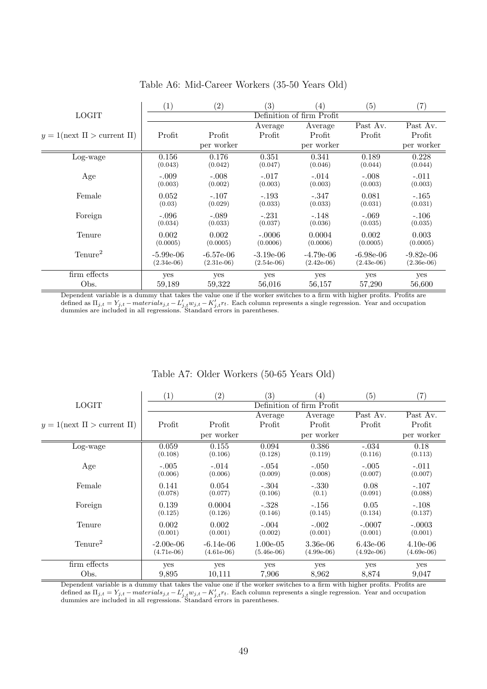|                                       | $\left( 1\right)$ | (2)          | (3)          | (4)                       | $\left( 5\right)$ | (7)          |
|---------------------------------------|-------------------|--------------|--------------|---------------------------|-------------------|--------------|
| <b>LOGIT</b>                          |                   |              |              | Definition of firm Profit |                   |              |
|                                       |                   |              | Average      | Average                   | Past Av.          | Past Av.     |
| $y = 1$ (next $\Pi >$ current $\Pi$ ) | Profit            | Profit       | Profit       | Profit                    | Profit            | Profit       |
|                                       |                   | per worker   |              | per worker                |                   | per worker   |
| Log-wage                              | 0.156             | 0.176        | 0.351        | 0.341                     | 0.189             | 0.228        |
|                                       | (0.043)           | (0.042)      | (0.047)      | (0.046)                   | (0.044)           | (0.044)      |
| Age                                   | $-.009$           | $-.008$      | $-.017$      | $-.014$                   | $-.008$           | $-.011$      |
|                                       | (0.003)           | (0.002)      | (0.003)      | (0.003)                   | (0.003)           | (0.003)      |
| Female                                | 0.052             | $-.107$      | $-.193$      | $-.347$                   | 0.081             | $-.165$      |
|                                       | (0.03)            | (0.029)      | (0.033)      | (0.033)                   | (0.031)           | (0.031)      |
| Foreign                               | $-.096$           | $-.089$      | $-.231$      | $-.148$                   | $-.069$           | $-.106$      |
|                                       | (0.034)           | (0.033)      | (0.037)      | (0.036)                   | (0.035)           | (0.035)      |
| Tenure                                | 0.002             | 0.002        | $-.0006$     | 0.0004                    | 0.002             | 0.003        |
|                                       | (0.0005)          | (0.0005)     | (0.0006)     | (0.0006)                  | (0.0005)          | (0.0005)     |
| Tenure <sup>2</sup>                   | $-5.99e-06$       | $-6.57e-06$  | $-3.19e-06$  | $-4.79e-06$               | $-6.98e-06$       | $-9.82e-06$  |
|                                       | $(2.34e-06)$      | $(2.31e-06)$ | $(2.54e-06)$ | $(2.42e-06)$              | $(2.43e-06)$      | $(2.36e-06)$ |
| firm effects                          | yes               | yes          | yes          | yes                       | yes               | yes          |
| Obs.                                  | 59,189            | 59,322       | 56,016       | 56,157                    | 57,290            | 56,600       |

#### Table A6: Mid-Career Workers (35-50 Years Old)

Dependent variable is a dummy that takes the value one if the worker switches to a firm with higher profits. Profits are defined as  $\Pi_{j,t} = Y_{j,t} - materials_{j,t} - L'_{j,t} w_{j,t} - K'_{j,t} r_t$ . Each column represents a single regression. Year and occupation dummies are included in all regressions. Standard errors in parentheses.

|                                       | $\left( 1\right)$ | (2)          | $\left( 3\right)$ | (4)                       | (5)          | (7)          |
|---------------------------------------|-------------------|--------------|-------------------|---------------------------|--------------|--------------|
| <b>LOGIT</b>                          |                   |              |                   | Definition of firm Profit |              |              |
|                                       |                   |              | Average           | Average                   | Past Av.     | Past Av.     |
| $y = 1$ (next $\Pi >$ current $\Pi$ ) | Profit            | Profit       | Profit            | Profit                    | Profit       | Profit       |
|                                       |                   | per worker   |                   | per worker                |              | per worker   |
| Log-wage                              | 0.059             | 0.155        | 0.094             | 0.386                     | $-.034$      | 0.18         |
|                                       | (0.108)           | (0.106)      | (0.128)           | (0.119)                   | (0.116)      | (0.113)      |
| Age                                   | $-.005$           | $-.014$      | $-.054$           | $-.050$                   | $-.005$      | $-.011$      |
|                                       | (0.006)           | (0.006)      | (0.009)           | (0.008)                   | (0.007)      | (0.007)      |
| Female                                | 0.141             | 0.054        | $-.304$           | $-.330$                   | 0.08         | $-.107$      |
|                                       | (0.078)           | (0.077)      | (0.106)           | (0.1)                     | (0.091)      | (0.088)      |
| Foreign                               | 0.139             | 0.0004       | $-.328$           | $-.156$                   | 0.05         | $-.108$      |
|                                       | (0.125)           | (0.126)      | (0.146)           | (0.145)                   | (0.134)      | (0.137)      |
| Tenure                                | 0.002             | 0.002        | $-.004$           | $-.002$                   | $-.0007$     | $-.0003$     |
|                                       | (0.001)           | (0.001)      | (0.002)           | (0.001)                   | (0.001)      | (0.001)      |
| Tenure <sup>2</sup>                   | $-2.00e-06$       | $-6.14e-06$  | $1.00e-0.5$       | 3.36e-06                  | $6.43e-06$   | $4.10e-06$   |
|                                       | $(4.71e-06)$      | $(4.61e-06)$ | $(5.46e-06)$      | $(4.99e-06)$              | $(4.92e-06)$ | $(4.69e-06)$ |
| firm effects                          | yes               | yes          | yes               | yes                       | yes          | yes          |
| Obs.                                  | 9,895             | 10,111       | 7,906             | 8,962                     | 8,874        | 9,047        |

#### Table A7: Older Workers (50-65 Years Old)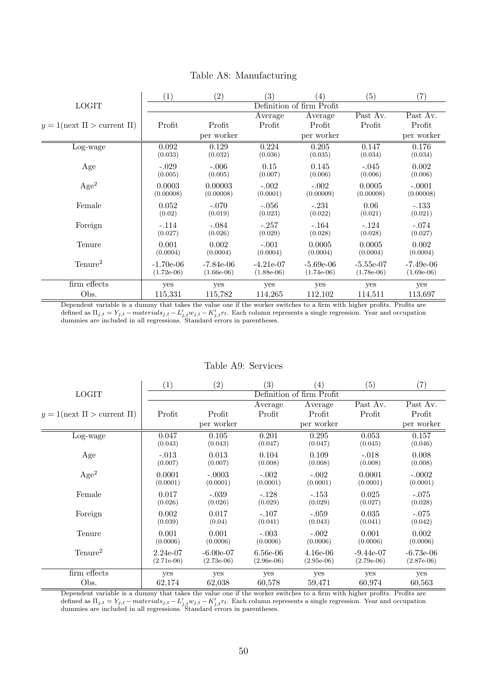|                                                      | $\left( 1\right)$ | (2)          | (3)          | $\left( 4\right)$         | $\left( 5\right)$ | $\left( 7\right)$ |
|------------------------------------------------------|-------------------|--------------|--------------|---------------------------|-------------------|-------------------|
| <b>LOGIT</b>                                         |                   |              |              | Definition of firm Profit |                   |                   |
|                                                      |                   |              | Average      | Average                   | Past Av.          | Past Av.          |
| $1(\text{next } \Pi > \text{current } \Pi)$<br>$y =$ | Profit            | Profit       | Profit       | Profit                    | Profit            | Profit            |
|                                                      |                   | per worker   |              | per worker                |                   | per worker        |
| Log-wage                                             | 0.092             | 0.129        | 0.224        | 0.205                     | 0.147             | 0.176             |
|                                                      | (0.033)           | (0.032)      | (0.036)      | (0.035)                   | (0.034)           | (0.034)           |
| Age                                                  | $-.029$           | $-.006$      | 0.15         | 0.145                     | $-.045$           | 0.002             |
|                                                      | (0.005)           | (0.005)      | (0.007)      | (0.006)                   | (0.006)           | (0.006)           |
| Age <sup>2</sup>                                     | 0.0003            | 0.00003      | $-.002$      | $-.002$                   | 0.0005            | $-.0001$          |
|                                                      | (0.00008)         | (0.00008)    | (0.0001)     | (0.00009)                 | (0.00008)         | (0.00008)         |
| Female                                               | 0.052             | $-.070$      | $-.056$      | $-.231$                   | 0.06              | $-.133$           |
|                                                      | (0.02)            | (0.019)      | (0.023)      | (0.022)                   | (0.021)           | (0.021)           |
| Foreign                                              | $-.114$           | $-.084$      | $-.257$      | $-.164$                   | $-.124$           | $-.074$           |
|                                                      | (0.027)           | (0.026)      | (0.029)      | (0.028)                   | (0.028)           | (0.027)           |
| Tenure                                               | 0.001             | 0.002        | $-.001$      | 0.0005                    | 0.0005            | 0.002             |
|                                                      | (0.0004)          | (0.0004)     | (0.0004)     | (0.0004)                  | (0.0004)          | (0.0004)          |
| Tenure <sup>2</sup>                                  | $-1.70e-06$       | $-7.84e-06$  | $-4.21e-07$  | $-5.69e-06$               | $-5.55e-07$       | $-7.49e-06$       |
|                                                      | $(1.72e-06)$      | $(1.66e-06)$ | $(1.88e-06)$ | $(1.74e-06)$              | $(1.78e-06)$      | $(1.69e-06)$      |
| firm effects                                         | yes               | yes          | yes          | yes                       | yes               | yes               |
| Obs.                                                 | 115,331           | 115,782      | 114,265      | 112,102                   | 114,511           | 113,697           |

#### Table A8: Manufacturing

Dependent variable is a dummy that takes the value one if the worker switches to a firm with higher profits. Profits are defined as  $\Pi_{j,t} = Y_{j,t} - materials_{j,t} - L'_{j,t} w_{j,t} - K'_{j,t} r_t$ . Each column represents a single regression. Year and occupation dummies are included in all regressions. Standard errors in parentheses.

#### Table A9: Services

|                                       | (1)          | (2)          | (3)          | (4)                       | (5)          | $\left( 7\right)$ |
|---------------------------------------|--------------|--------------|--------------|---------------------------|--------------|-------------------|
| <b>LOGIT</b>                          |              |              |              | Definition of firm Profit |              |                   |
|                                       |              |              | Average      | Average                   | Past Av.     | Past Av.          |
| $y = 1$ (next $\Pi >$ current $\Pi$ ) | Profit       | Profit       | Profit       | Profit                    | Profit       | Profit            |
|                                       |              | per worker   |              | per worker                |              | per worker        |
| Log-wage                              | 0.047        | 0.105        | 0.201        | 0.295                     | 0.053        | 0.157             |
|                                       | (0.043)      | (0.043)      | (0.047)      | (0.047)                   | (0.045)      | (0.046)           |
| Age                                   | $-.013$      | 0.013        | 0.104        | 0.109                     | $-.018$      | 0.008             |
|                                       | (0.007)      | (0.007)      | (0.008)      | (0.008)                   | (0.008)      | (0.008)           |
| Age <sup>2</sup>                      | 0.0001       | $-.0003$     | $-.002$      | $-.002$                   | 0.0001       | $-.0002$          |
|                                       | (0.0001)     | (0.0001)     | (0.0001)     | (0.0001)                  | (0.0001)     | (0.0001)          |
| Female                                | 0.017        | $-.039$      | $-.128$      | $-.153$                   | 0.025        | $-.075$           |
|                                       | (0.026)      | (0.026)      | (0.029)      | (0.029)                   | (0.027)      | (0.028)           |
| Foreign                               | 0.002        | 0.017        | $-.107$      | $-.059$                   | 0.035        | $-.075$           |
|                                       | (0.039)      | (0.04)       | (0.041)      | (0.043)                   | (0.041)      | (0.042)           |
| Tenure                                | 0.001        | 0.001        | $-.003$      | $-.002$                   | 0.001        | 0.002             |
|                                       | (0.0006)     | (0.0006)     | (0.0006)     | (0.0006)                  | (0.0006)     | (0.0006)          |
| Tenure <sup>2</sup>                   | $2.24e-07$   | $-6.00e-07$  | $6.56e-06$   | $4.16e-06$                | $-9.44e-07$  | $-6.73e-06$       |
|                                       | $(2.71e-06)$ | $(2.73e-06)$ | $(2.96e-06)$ | $(2.95e-06)$              | $(2.79e-06)$ | $(2.87e-06)$      |
| firm effects                          | yes          | yes          | yes          | yes                       | yes          | yes               |
| Obs.                                  | 62,174       | 62,038       | 60,578       | 59,471                    | 60,974       | 60,563            |